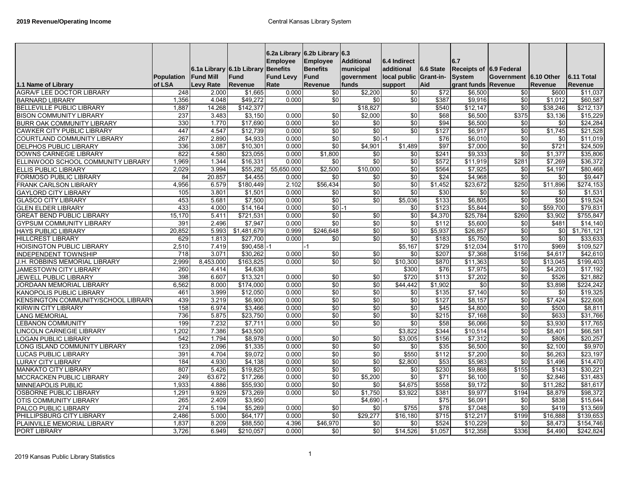| 1.1 Name of Library                 | Population<br>of LSA | <b>Fund Mill</b><br>Levy Rate | 6.1a Library 6.1b Library Benefits<br>Fund<br>Revenue | <b>Employee</b><br><b>Fund Levy</b><br>Rate | 6.2a Library 6.2b Library 6.3<br><b>Employee</b><br><b>Benefits</b><br><b>Fund</b><br>Revenue | <b>Additional</b><br>municipal<br>government<br>funds | 6.4 Indirect<br>additional<br>local public<br>support | 6.6 State<br><b>Grant-in-</b><br>Aid | 6.7<br>Receipts of 6.9 Federal<br><b>System</b><br>grant funds Revenue | Government 6.10 Other | Revenue  | 6.11 Total<br>Revenue |
|-------------------------------------|----------------------|-------------------------------|-------------------------------------------------------|---------------------------------------------|-----------------------------------------------------------------------------------------------|-------------------------------------------------------|-------------------------------------------------------|--------------------------------------|------------------------------------------------------------------------|-----------------------|----------|-----------------------|
| <b>AGRA/F LEE DOCTOR LIBRARY</b>    | 248                  | 2.000                         | \$1,665                                               | 0.000                                       | \$0                                                                                           | \$2,200                                               | \$0                                                   | \$72                                 | \$6,500                                                                | \$0                   | \$600    | \$11,037              |
| <b>BARNARD LIBRARY</b>              | 1,356                | 4.048                         | \$49,272                                              | 0.000                                       | \$0                                                                                           | \$0                                                   | $\overline{30}$                                       | \$387                                | \$9,916                                                                | \$0                   | \$1,012  | \$60,587              |
| <b>BELLEVILLE PUBLIC LIBRARY</b>    | 1,887                | 14.268                        | \$142,377                                             |                                             |                                                                                               | \$18,827                                              |                                                       | \$540                                | \$12,147                                                               | \$0                   | \$38,246 | \$212,137             |
| <b>BISON COMMUNITY LIBRARY</b>      | 237                  | 3.483                         | \$3,150                                               | 0.000                                       | \$0                                                                                           | \$2.000                                               | \$0                                                   | \$68                                 | \$6,500                                                                | \$375                 | \$3,136  | \$15,229              |
| <b>BURR OAK COMMUNITY LIBRARY</b>   | 330                  | 1.770                         | \$17,690                                              | 0.000                                       | \$0                                                                                           | \$0                                                   | \$0                                                   | \$94                                 | \$6,500                                                                | \$0                   | \$0      | \$24,284              |
| <b>CAWKER CITY PUBLIC LIBRARY</b>   | 447                  | 4.547                         | \$12.739                                              | 0.000                                       | \$0                                                                                           | $\sqrt{6}$                                            | $\overline{50}$                                       | \$127                                | \$6.917                                                                | \$0                   | \$1.745  | \$21,528              |
| COURTLAND COMMUNITY LIBRARY         | 267                  | 2.890                         | \$4,933                                               | 0.000                                       | \$0                                                                                           | $$0 - 1$                                              |                                                       | \$76                                 | \$6,010                                                                | \$0                   | \$0      | \$11,019              |
| DELPHOS PUBLIC LIBRARY              | 336                  | 3.087                         | \$10,301                                              | 0.000                                       | \$0                                                                                           | \$4,901                                               | \$1,489                                               | \$97                                 | \$7,000                                                                | \$0                   | \$721    | \$24,509              |
| DOWNS CARNEGIE LIBRARY              | 822                  | 4.580                         | \$23,055                                              | 0.000                                       | \$1,800                                                                                       | $\overline{50}$                                       | \$0                                                   | \$241                                | \$9,333                                                                | $\sqrt{50}$           | \$1,377  | \$35,806              |
| ELLINWOOD SCHOOL COMMUNITY LIBRARY  | 1,969                | 1.344                         | \$16,331                                              | 0.000                                       | \$0                                                                                           | \$0                                                   | \$0                                                   | \$572                                | \$11,919                                                               | \$281                 | \$7,269  | \$36,372              |
| ELLIS PUBLIC LIBRARY                | 2,029                | 3.994                         | \$55,282                                              | 55,650.000                                  | \$2,500                                                                                       | \$10,000                                              | \$0                                                   | \$564                                | \$7,925                                                                | \$0                   | \$4,197  | \$80,468              |
| <b>FORMOSO PUBLIC LIBRARY</b>       | 84                   | 20.857                        | \$4.455                                               | 0.000                                       | \$0                                                                                           | \$0                                                   | \$0                                                   | \$24                                 | \$4,968                                                                | $\overline{50}$       | \$0      | \$9,447               |
| <b>FRANK CARLSON LIBRARY</b>        | 4,956                | 6.579                         | \$180.449                                             | 2.102                                       | \$56,434                                                                                      | $\overline{50}$                                       | $\sqrt{6}$                                            | \$1,452                              | \$23,672                                                               | \$250                 | \$11,896 | \$274,153             |
| <b>GAYLORD CITY LIBRARY</b>         | 105                  | 3.801                         | \$1,501                                               | 0.000                                       | \$0                                                                                           | \$0                                                   | $\sqrt{6}$                                            | \$30                                 | \$0                                                                    | \$0                   | \$0      | \$1,531               |
| <b>GLASCO CITY LIBRARY</b>          | 453                  | 5.681                         | \$7,500                                               | 0.000                                       | \$0                                                                                           | \$0                                                   | \$5,036                                               | \$133                                | \$6,805                                                                | $\sqrt{50}$           | \$50     | \$19,524              |
| <b>GLEN ELDER LIBRARY</b>           | 433                  | 4.000                         | \$14,164                                              | 0.000                                       | $$0 - 1$                                                                                      |                                                       | \$0                                                   | \$123                                | \$5,844                                                                | $\sqrt{6}$            | \$59,700 | \$79,831              |
| <b>GREAT BEND PUBLIC LIBRARY</b>    | 15,170               | 5.411                         | \$721,531                                             | 0.000                                       | $\sqrt{6}$                                                                                    | \$0                                                   | $\sqrt{6}$                                            | \$4,370                              | \$25,784                                                               | \$260                 | \$3,902  | \$755,847             |
| <b>GYPSUM COMMUNITY LIBRARY</b>     | 391                  | 2.496                         | \$7,947                                               | 0.000                                       | \$0                                                                                           | \$0                                                   | \$0                                                   | \$112                                | \$5,600                                                                | \$0                   | \$481    | \$14,140              |
| <b>HAYS PUBLIC LIBRARY</b>          | 20.852               | 5.993                         | \$1.481.679                                           | 0.999                                       | \$246.648                                                                                     | $\overline{30}$                                       | \$0                                                   | \$5.937                              | \$26.857                                                               | \$0                   | \$0      | \$1.761.121           |
| <b>HILLCREST LIBRARY</b>            | 629                  | 1.813                         | \$27,700                                              | 0.000                                       | \$0                                                                                           | \$0                                                   | \$0                                                   | \$183                                | \$5,750                                                                | \$0                   | \$0      | \$33,633              |
| <b>HOISINGTON PUBLIC LIBRARY</b>    | 2,510                | 7.419                         | $$90.458 - 1$                                         |                                             |                                                                                               |                                                       | \$5,167                                               | \$729                                | \$12.034                                                               | \$170                 | \$969    | \$109.527             |
| <b>INDEPENDENT TOWNSHIP</b>         | 718                  | 3.071                         | \$30,262                                              | 0.000                                       | \$0                                                                                           | \$0                                                   | \$0                                                   | \$207                                | \$7,368                                                                | \$156                 | \$4,617  | \$42,610              |
| J.H. ROBBINS MEMORIAL LIBRARY       | 2,999                | 8,453.000                     | \$163,825                                             | 0.000                                       | $\sqrt{6}$                                                                                    | $\sqrt{6}$                                            | \$10,300                                              | \$870                                | \$11,363                                                               | \$0                   | \$13,045 | \$199,403             |
| <b>JAMESTOWN CITY LIBRARY</b>       | 260                  | 4.414                         | \$4,638                                               |                                             |                                                                                               |                                                       | \$300                                                 | \$76                                 | \$7,975                                                                | \$0                   | \$4,203  | \$17,192              |
| <b>JEWELL PUBLIC LIBRARY</b>        | 398                  | 6.607                         | \$13,321                                              | 0.000                                       | \$0                                                                                           | \$0                                                   | \$720                                                 | \$113                                | \$7,202                                                                | \$0                   | \$526    | \$21,882              |
| JORDAAN MEMORIAL LIBRARY            | 6,562                | 8.000                         | \$174,000                                             | 0.000                                       | \$0                                                                                           | $\sqrt{6}$                                            | \$44,442                                              | \$1,902                              | $\sqrt{6}$                                                             | \$0                   | \$3,898  | \$224,242             |
| <b>KANOPOLIS PUBLIC LIBRARY</b>     | 461                  | 3.999                         | \$12.050                                              | 0.000                                       | \$0                                                                                           | $\overline{30}$                                       | \$0                                                   | \$135                                | \$7,140                                                                | $\sqrt{50}$           | \$0      | \$19,325              |
| KENSINGTON COMMUNITY/SCHOOL LIBRARY | 439                  | 3.219                         | \$6,900                                               | 0.000                                       | \$0                                                                                           | $\overline{50}$                                       | \$0                                                   | \$127                                | \$8,157                                                                | $\sqrt{50}$           | \$7,424  | \$22,608              |
| KIRWIN CITY LIBRARY                 | 158                  | 6.974                         | \$3,466                                               | 0.000                                       | \$0                                                                                           | \$0                                                   | $\overline{50}$                                       | \$45                                 | \$4,800                                                                | $\overline{30}$       | \$500    | \$8,811               |
| <b>LANG MEMORIAL</b>                | 736                  | 5.875                         | \$23,750                                              | 0.000                                       | \$0                                                                                           | $\overline{50}$                                       | $\sqrt{6}$                                            | \$215                                | \$7,168                                                                | $\sqrt{6}$            | \$633    | \$31,766              |
| <b>LEBANON COMMUNITY</b>            | 199                  | 7.232                         | \$7,711                                               | 0.000                                       | \$0                                                                                           | \$0                                                   | \$0                                                   | \$58                                 | \$6,066                                                                | \$0                   | \$3,930  | \$17,765              |
| LINCOLN CARNEGIE LIBRARY            | 1,202                | 7.386                         | \$43,500                                              |                                             |                                                                                               |                                                       | \$3,822                                               | \$344                                | \$10,514                                                               | \$0                   | \$8,401  | \$66,581              |
| LOGAN PUBLIC LIBRARY                | 542                  | 1.794                         | \$8,978                                               | 0.000                                       | \$0                                                                                           | \$0                                                   | \$3,005                                               | \$156                                | \$7,312                                                                | \$0                   | \$806    | \$20,257              |
| LONG ISLAND COMMUNITY LIBRARY       | $\overline{123}$     | 2.096                         | \$1.335                                               | 0.000                                       | \$0                                                                                           | $\overline{30}$                                       | \$0                                                   | \$35                                 | \$6.500                                                                | \$0                   | \$2.100  | \$9.970               |
| LUCAS PUBLIC LIBRARY                | 391                  | 4.704                         | \$9,072                                               | 0.000                                       | \$0                                                                                           | $\overline{50}$                                       | \$550                                                 | \$112                                | \$7,200                                                                | $\overline{50}$       | \$6,263  | \$23,197              |
| <b>LURAY CITY LIBRARY</b>           | 184                  | 4.930                         | \$4,138                                               | 0.000                                       | \$0                                                                                           | $\overline{50}$                                       | \$2,800                                               | \$53                                 | \$5,983                                                                | $\overline{60}$       | \$1,496  | \$14,470              |
| <b>MANKATO CITY LIBRARY</b>         | 807                  | 5.426                         | \$19,825                                              | 0.000                                       | \$0                                                                                           | \$0                                                   | \$0                                                   | \$230                                | \$9,868                                                                | \$155                 | \$143    | \$30,221              |
| MCCRACKEN PUBLIC LIBRARY            | 249                  | 63.672                        | \$17,266                                              | 0.000                                       | \$0                                                                                           | \$5,200                                               | \$0                                                   | \$71                                 | \$6,100                                                                | \$0                   | \$2,846  | \$31,483              |
| MINNEAPOLIS PUBLIC                  | 1,933                | 4.886                         | \$55,930                                              | 0.000                                       | \$0                                                                                           | \$0                                                   | \$4,675                                               | \$558                                | \$9,172                                                                | \$0                   | \$11,282 | \$81,617              |
| OSBORNE PUBLIC LIBRARY              | 1,291                | 9.929                         | \$73,269                                              | 0.000                                       | \$0                                                                                           | \$1,750                                               | \$3,922                                               | \$381                                | \$9,977                                                                | \$194                 | \$8,879  | \$98,372              |
| OTIS COMMUNITY LIBRARY              | 265                  | 2.409                         | \$3,950                                               |                                             |                                                                                               | $$4,690$ .                                            |                                                       | $\sqrt{$75}$                         | \$6,091                                                                | \$0                   | \$838    | \$15,644              |
| PALCO PUBLIC LIBRARY                | 274                  | 5.194                         | \$5,269                                               | 0.000                                       | $\sqrt{6}$                                                                                    | \$0                                                   | \$755                                                 | \$78                                 | \$7,048                                                                | $\sqrt{50}$           | \$419    | \$13,569              |
| PHILLIPSBURG CITY LIBRARY           | 2.486                | 5.000                         | \$64,177                                              | 0.000                                       | $\sqrt{6}$                                                                                    | \$29,277                                              | \$16,180                                              | \$715                                | \$12,217                                                               | \$199                 | \$16.888 | \$139,653             |
| PLAINVILLE MEMORIAL LIBRARY         | 1,837                | 8.209                         | \$88,550                                              | 4.396                                       |                                                                                               | \$0                                                   | \$0                                                   | \$524                                | \$10,229                                                               | \$0                   | \$8,473  | \$154,746             |
| PORT LIBRARY                        | 3.726                | 6.949                         | \$210,057                                             | 0.000                                       | \$0                                                                                           | \$0                                                   | \$14.526                                              | \$1,057                              | \$12,358                                                               | \$336                 | \$4,490  | \$242,824             |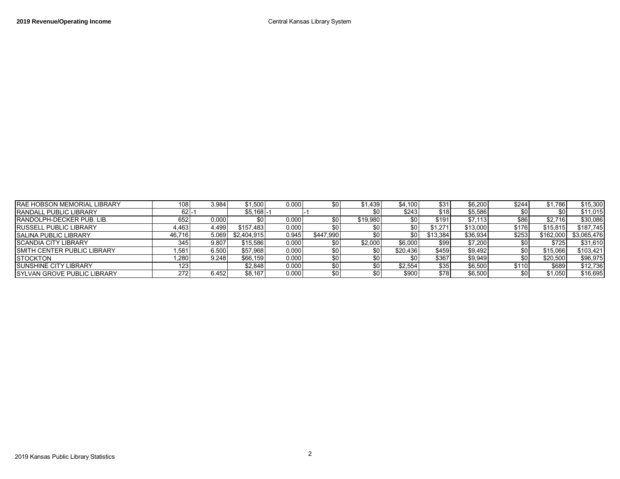| <b>IRAE HOBSON MEMORIAL LIBRARY</b> | 108              | 3.984 | \$1,500     | 0.000 |           | \$1,439          | \$4,100  | \$31     | \$6,200  | \$244 | \$1,786   | \$15,300    |
|-------------------------------------|------------------|-------|-------------|-------|-----------|------------------|----------|----------|----------|-------|-----------|-------------|
| <b>IRANDALL PUBLIC LIBRARY</b>      |                  |       | $$5,168$ -  |       |           | \$0              | \$243    | \$18     | \$5,586  |       |           | \$11,015    |
| <b>RANDOLPH-DECKER PUB. LIB.</b>    | 652              | 0.000 |             | 0.000 |           | \$19,980         |          | \$191    | \$7.113  | \$86  | \$2.716   | \$30,086    |
| <b>RUSSELL PUBLIC LIBRARY</b>       | 4.463            | 4.499 | \$157.483   | 0.000 |           |                  |          | \$1.271  | \$13,000 | \$176 | \$15,815  | \$187,745   |
| <b>SALINA PUBLIC LIBRARY</b>        | 46.716           | 5.069 | \$2.404.915 | 0.945 | \$447.990 | \$0 I            |          | \$13.384 | \$36.934 | \$253 | \$162.000 | \$3,065,476 |
| <b>SCANDIA CITY LIBRARY</b>         | 345              | 9.807 | \$15.586    | 0.000 |           | \$2.000          | \$6,000  | \$99     | \$7,200  |       | \$725     | \$31,610    |
| <b>ISMITH CENTER PUBLIC LIBRARY</b> | $.58^{\circ}$    | 6.500 | \$57.968    | 0.000 |           | \$0 I            | \$20,436 | \$459    | \$9,492  |       | \$15,066  | \$103,421   |
| <b>ISTOCKTON</b>                    | $^{\prime}$ ,280 | 9.248 | \$66.159    | 0.000 |           | SO I             |          | \$367    | \$9.949  |       | \$20.500  | \$96,975    |
| <b>ISUNSHINE CITY LIBRARY</b>       |                  |       | \$2,848     | 0.000 |           | \$٥١             | \$2,554  | \$35     | \$6,500  | \$110 | \$689     | \$12,736    |
| <b>ISYLVAN GROVE PUBLIC LIBRARY</b> | 272              | 6.452 | \$8.167     | 0.000 |           | \$0 <sub>1</sub> | \$900    | \$78     | \$6,500  |       | \$1.050   | \$16.695    |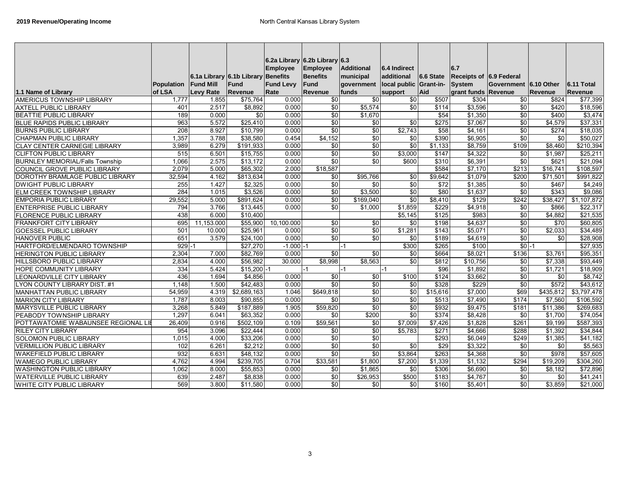|                                        |            |                                    |                    | 6.2a Library 6.2b Library 6.3 |                 |                   |                        |                     |                         |                       |                 |                      |
|----------------------------------------|------------|------------------------------------|--------------------|-------------------------------|-----------------|-------------------|------------------------|---------------------|-------------------------|-----------------------|-----------------|----------------------|
|                                        |            |                                    |                    | <b>Employee</b>               | <b>Employee</b> | <b>Additional</b> | 6.4 Indirect           |                     | 6.7                     |                       |                 |                      |
|                                        |            | 6.1a Library 6.1b Library Benefits |                    |                               | <b>Benefits</b> | municipal         | additional             | 6.6 State           | Receipts of 6.9 Federal |                       |                 |                      |
|                                        | Population | <b>Fund Mill</b>                   | Fund               | <b>Fund Levy</b>              | Fund            | government        | local public Grant-in- |                     | System                  | Government 6.10 Other |                 | 6.11 Total           |
| 1.1 Name of Library                    | of LSA     | <b>Levy Rate</b>                   | Revenue            | Rate                          | Revenue         | funds             | support                | Aid                 | grant funds Revenue     |                       | <b>Revenue</b>  | Revenue              |
| <b>AMERICUS TOWNSHIP LIBRARY</b>       | 1,777      | 1.855                              | \$75,764           | 0.000                         | \$0             | \$0               | \$0                    | \$507               | \$304                   | \$0                   | \$824           | \$77,399             |
| <b>AXTELL PUBLIC LIBRARY</b>           | 401        | 2.517                              | \$8,892            | 0.000                         | $\sqrt{50}$     | \$5,574           | \$0                    | \$114               | \$3,596                 | \$0                   | \$420           | \$18.596             |
| <b>BEATTIE PUBLIC LIBRARY</b>          | 189        | 0.000                              | $\sqrt{6}$         | 0.000                         | $\sqrt{50}$     | \$1,670           |                        | $\overline{$}$ \$54 | \$1,350                 | $\overline{50}$       | \$400           | \$3,474              |
| <b>BLUE RAPIDS PUBLIC LIBRARY</b>      | 963        | 5.572                              | \$25,410           | 0.000                         | \$0             | $\overline{50}$   | \$0                    | \$275               | \$7,067                 | $\overline{30}$       | \$4,579         | \$37,331             |
| <b>BURNS PUBLIC LIBRARY</b>            | 208        | 8.927                              | $\frac{1}{10,799}$ | 0.000                         | \$0             | \$0               | \$2,743                | \$58                | \$4,161                 | \$0                   | \$274           | \$18,035             |
| <b>CHAPMAN PUBLIC LIBRARY</b>          | 1,357      | 3.788                              | \$38,580           | 0.454                         | \$4,152         | \$0               | $\frac{6}{5}$          | \$390               | \$6,905                 | \$0                   | $\overline{50}$ | \$50,027             |
| <b>CLAY CENTER CARNEGIE LIBRARY</b>    | 3,989      | 6.279                              | \$191,933          | 0.000                         | \$0             | $\sqrt{6}$        | $\frac{6}{5}$          | \$1,133             | \$8,759                 | \$109                 | \$8,460         | \$210,394            |
| <b>CLIFTON PUBLIC LIBRARY</b>          | 515        | 6.501                              | \$15,755           | 0.000                         | $\overline{50}$ | $\overline{50}$   | \$3,000                | \$147               | \$4,322                 | \$0                   | \$1,987         | \$25,211             |
| <b>BURNLEY MEMORIAL/Falls Township</b> | 1,066      | 2.575                              | \$13,172           | 0.000                         | $\overline{30}$ | $\overline{50}$   | \$600                  | \$310               | \$6,391                 | \$0                   | \$621           | \$21,094             |
| <b>COUNCIL GROVE PUBLIC LIBRARY</b>    | 2.079      | 5.000                              | \$65.302           | 2.000                         | \$18,587        |                   |                        | \$584               | \$7,170                 | \$213                 | \$16,741        | \$108.597            |
| DOROTHY BRAMLAGE PUBLIC LIBRARY        | 32,594     | 4.162                              | \$813,634          | 0.000                         | \$0             | \$95.766          | \$0                    | \$9,642             | \$1.079                 | \$200                 | \$71,501        | \$991,822            |
| <b>DWIGHT PUBLIC LIBRARY</b>           | 255        | 1.427                              | \$2,325            | 0.000                         | \$0             | $\sqrt{6}$        | $\frac{6}{5}$          | $\sqrt{$72}$        | \$1,385                 | \$0                   | \$467           | \$4,249              |
| <b>ELM CREEK TOWNSHIP LIBRARY</b>      | 284        | 1.015                              | \$3,526            | 0.000                         | $\sqrt{50}$     | \$3,500           | $\overline{50}$        | \$80                | \$1,637                 | $\sqrt{6}$            | \$343           | \$9,086              |
| <b>EMPORIA PUBLIC LIBRARY</b>          | 29,552     | 5.000                              | \$891,624          | 0.000                         | \$0             | \$169,040         | $\frac{6}{5}$          | \$8,410             | \$129                   | \$242                 | \$38,427        | \$1,107,872          |
| <b>ENTERPRISE PUBLIC LIBRARY</b>       | 794        | 3.766                              | \$13,445           | 0.000                         | $\overline{50}$ | \$1,000           | \$1,859                | \$229               | \$4,918                 | \$0                   | \$866           | \$22,317             |
| <b>FLORENCE PUBLIC LIBRARY</b>         | 438        | 6.000                              | \$10.400           |                               |                 |                   | \$5.145                | \$125               | \$983                   | \$0                   | \$4.882         | \$21,535             |
| <b>FRANKFORT CITY LIBRARY</b>          | 695        | 11,153.000                         | \$55,900           | 10.100.000                    | \$0             | \$0               | \$0                    | \$198               | \$4,637                 | \$0                   | \$70            | \$60,805             |
| <b>GOESSEL PUBLIC LIBRARY</b>          | 501        | 10.000                             | \$25,961           | 0.000                         | $\sqrt{50}$     | $\overline{50}$   | \$1,281                | \$143               | \$5,071                 | $\sqrt{6}$            | \$2,033         | \$34,489             |
| <b>HANOVER PUBLIC</b>                  | 651        | 3.579                              | \$24,100           | 0.000                         | $\sqrt{6}$      | \$0               | $\frac{6}{5}$          | \$189               | \$4,619                 | $\sqrt{6}$            | \$0             | \$28,908             |
| HARTFORD/ELMENDARO TOWNSHIP            | 929        |                                    | \$27,270           | $-1.000 - 1$                  |                 | -1                | \$300                  | \$265               | \$100                   | $$0 - 1$              |                 | \$27,935             |
| <b>HERINGTON PUBLIC LIBRARY</b>        | 2,304      | 7.000                              | \$82,769           | 0.000                         | \$0             | \$0               | \$0                    | \$664               | \$8,021                 | \$136                 | \$3,761         | \$95,351             |
| <b>HILLSBORO PUBLIC LIBRARY</b>        | 2,834      | 4.000                              | \$56,982           | 30.000                        | \$8,998         | \$8,563           | $\frac{6}{5}$          | \$812               | \$10,756                | \$0                   | \$7,338         | \$93,449             |
| <b>HOPE COMMUNITY LIBRARY</b>          | 334        | 5.424                              | $$15,200$ -1       |                               | $-1$            | -1                | -1                     | \$96                | \$1,892                 | \$0                   | \$1,721         | \$18,909             |
| LEONARDVILLE CITY LIBRARY              | 436        | 1.694                              | \$4.856            | 0.000                         | $\sqrt{50}$     | $\sqrt{6}$        | \$100                  | \$124               | \$3,662                 | \$0                   | \$0             | \$8,742              |
| LYON COUNTY LIBRARY DIST. #1           | 1,148      | 1.500                              | \$42,483           | 0.000                         | \$0             | \$0               | \$0                    | \$328               | \$229                   | \$0                   | \$572           | \$43,612             |
| <b>MANHATTAN PUBLIC LIBRARY</b>        | 54,959     | 4.319                              | \$2,689,163        | 1.046                         | \$649,818       | $\sqrt{6}$        | \$0                    | \$15,616            | \$7,000                 | \$69                  | \$435,812       | \$3,797,478          |
| <b>MARION CITY LIBRARY</b>             | 1,787      | 8.003                              | \$90.855           | 0.000                         | \$0             | $\overline{50}$   | $\overline{50}$        | \$513               | \$7,490                 | \$174                 | \$7,560         | \$106,592            |
| MARYSVILLE PUBLIC LIBRARY              | 3,268      | 5.849                              | \$187,889          | 1.905                         | \$59,820        | $\sqrt{6}$        | \$0                    | \$932               | \$9,475                 | \$181                 | \$11,386        | \$269,683            |
| PEABODY TOWNSHIP LIBRARY               | 1,297      | 6.041                              | \$63,352           | 0.000                         | \$0             | \$200             | $\frac{6}{5}$          | \$374               | \$8,428                 | \$0                   | \$1,700         | \$74,054             |
| POTTAWATOMIE WABAUNSEE REGIONAL LII    | 26,409     | 0.916                              | \$502,109          | 0.109                         | \$59,561        | \$0               | \$7,009                | \$7,426             | \$1,828                 | \$261                 | \$9,199         | \$587,393            |
| <b>RILEY CITY LIBRARY</b>              | 954        | 3.096                              | \$22.444           | 0.000                         | \$0             | $\overline{50}$   | \$5.783                | \$271               | \$4,666                 | \$288                 | \$1.392         | \$34,844             |
| <b>SOLOMON PUBLIC LIBRARY</b>          | 1,015      | 4.000                              | \$33,206           | 0.000                         | $\sqrt{50}$     | \$0               |                        | \$293               | \$6,049                 | \$249                 | \$1,385         | \$41,182             |
| <b>VERMILLION PUBLIC LIBRARY</b>       | 102        | 6.261                              | \$2,212            | 0.000                         | \$0             | \$0               | \$0                    | $\overline{$29}$    | \$3,322                 | \$0                   | \$0             | \$5,563              |
| <b>WAKEFIELD PUBLIC LIBRARY</b>        | 932        | 6.631                              | \$48.132           | 0.000                         | $\sqrt{50}$     | $\overline{50}$   | \$3.864                | \$263               | \$4,368                 | $\sqrt{6}$            | \$978           | \$57,605             |
| <b>WAMEGO PUBLIC LIBRARY</b>           | 4,762      | 4.994                              | \$239,705          | 0.704                         | \$33,581        | \$1,800           | \$7,200                | \$1,339             | \$1,132                 | \$294                 | \$19,209        | \$304,260            |
| <b>WASHINGTON PUBLIC LIBRARY</b>       | 1,062      | 8.000                              | \$55,853           | 0.000                         | \$0             | \$1,865           | $\frac{6}{5}$          | \$306               | \$6,690                 | \$0                   | \$8,182         | \$72,896             |
| <b>WATERVILLE PUBLIC LIBRARY</b>       | 639        | 2.487                              | \$8,838            | 0.000                         | $\sqrt{6}$      | \$26,953          | \$500                  | \$183               | \$4,767                 | \$0                   | \$0             | $\overline{$}41,241$ |
| WHITE CITY PUBLIC LIBRARY              | 569        | 3.800                              | \$11,580           | 0.000                         | \$0             | \$0               | \$0                    | \$160               | \$5,401                 | \$0                   | \$3,859         | \$21,000             |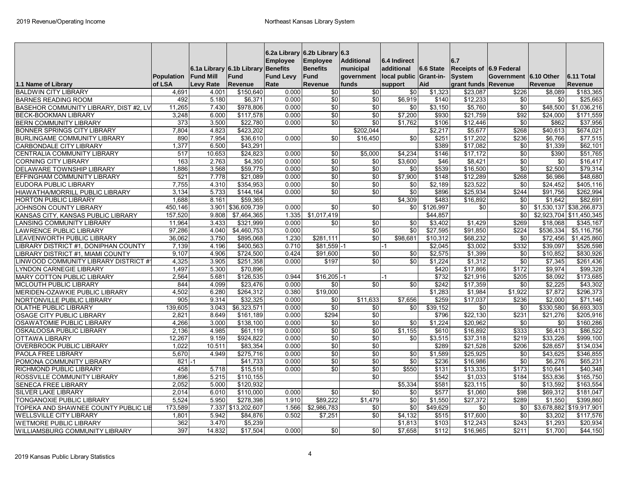|                                        | Population       | 6.1a Library 6.1b Library<br><b>Fund Mill</b> | Fund                  | 6.2a Library 6.2b Library 6.3<br><b>Employee</b><br><b>Benefits</b><br><b>Fund Levy</b> | <b>Employee</b><br><b>Benefits</b><br>Fund | <b>Additional</b><br>municipal<br>government | 6.4 Indirect<br>additional<br>local public Grant-in- | 6.6 State | 6.7<br><b>Receipts of 6.9 Federal</b><br><b>System</b> | Government 6.10 Other |                     | 6.11 Total               |
|----------------------------------------|------------------|-----------------------------------------------|-----------------------|-----------------------------------------------------------------------------------------|--------------------------------------------|----------------------------------------------|------------------------------------------------------|-----------|--------------------------------------------------------|-----------------------|---------------------|--------------------------|
| 1.1 Name of Library                    | of LSA           | <b>Levy Rate</b>                              | Revenue               | Rate                                                                                    | Revenue                                    | funds                                        | support                                              | Aid       | grant funds Revenue                                    |                       | <b>Revenue</b>      | Revenue                  |
| <b>BALDWIN CITY LIBRARY</b>            | 4,691            | 4.001                                         | \$150,640             | 0.000                                                                                   | $\overline{50}$                            | $\overline{50}$                              | \$0                                                  | \$1,323   | \$23,087                                               | \$226                 | \$8,089             | \$183,365                |
| <b>BARNES READING ROOM</b>             | 492              | 5.180                                         | \$6,371               | 0.000                                                                                   | \$0                                        | $\overline{50}$                              | \$6,919                                              | \$140     | \$12,233                                               | \$0                   | \$0                 | \$25,663                 |
| BASEHOR COMMUNITY LIBRARY, DIST #2, LV | 11,265           | 7.430                                         | \$978,806             | 0.000                                                                                   | \$0                                        | $\sqrt{6}$                                   | $\frac{6}{5}$                                        | \$3,150   | \$5,760                                                | $\sqrt{6}$            | \$48,500            | \$1,036,216              |
| <b>BECK-BOOKMAN LIBRARY</b>            | 3.248            | 6.000                                         | \$117,578             | 0.000                                                                                   | \$0                                        | \$0                                          | \$7.200                                              | \$930     | \$21.759                                               | $\overline{$92}$      | \$24.000            | \$171,559                |
| <b>BERN COMMUNITY LIBRARY</b>          | 373              | 3.500                                         | \$22.780              | 0.000                                                                                   | \$0                                        | \$0                                          | \$1.762                                              | \$106     | \$12.446                                               | \$0                   | \$862               | \$37.956                 |
| <b>BONNER SPRINGS CITY LIBRARY</b>     | 7.804            | 4.823                                         | \$423.202             |                                                                                         |                                            | \$202.044                                    |                                                      | \$2.217   | \$5.677                                                | \$268                 | \$40.613            | \$674.021                |
| <b>BURLINGAME COMMUNITY LIBRARY</b>    | 890              | 7.954                                         | \$36.610              | 0.000                                                                                   | $\overline{30}$                            | \$16,450                                     | $\overline{50}$                                      | \$251     | \$17,202                                               | \$236                 | \$6.766             | \$77,515                 |
| CARBONDALE CITY LIBRARY                | 1,377            | 6.500                                         | \$43,291              |                                                                                         |                                            |                                              |                                                      | \$389     | \$17,082                                               | \$0                   | \$1,339             | \$62,101                 |
| CENTRALIA COMMUNITY LIBRARY            | 517              | 10.653                                        | \$24.823              | 0.000                                                                                   | \$0                                        | \$5,000                                      | \$4,234                                              | \$146     | \$17,172                                               | \$0                   | \$390               | \$51,765                 |
| <b>CORNING CITY LIBRARY</b>            | 163              | 2.763                                         | \$4.350               | 0.000                                                                                   | \$0                                        | \$0                                          | \$3,600                                              | \$46      | \$8.421                                                | \$0                   | \$0                 | \$16.417                 |
| <b>DELAWARE TOWNSHIP LIBRARY</b>       | 1.886            | 3.568                                         | \$59.775              | 0.000                                                                                   | $\sqrt{50}$                                | \$0                                          | \$0                                                  | \$539     | \$16,500                                               | \$0                   | \$2,500             | \$79,314                 |
| EFFINGHAM COMMUNITY LIBRARY            | 521              | 7.778                                         | \$21.089              | 0.000                                                                                   | $\sqrt{50}$                                | $\overline{30}$                              | \$7.900                                              | \$148     | \$12.289                                               | \$268                 | \$6.986             | \$48.680                 |
| <b>EUDORA PUBLIC LIBRARY</b>           | 7,755            | 4.310                                         | \$354,953             | 0.000                                                                                   | $\sqrt{50}$                                | $\sqrt{6}$                                   | \$0                                                  | \$2,189   | \$23,522                                               | \$0                   | \$24,452            | \$405,116                |
| <b>HIAWATHA/MORRILL PUBLIC LIBRARY</b> | 3,134            | 5.733                                         | \$144.164             | 0.000                                                                                   | $\overline{30}$                            | $\overline{50}$                              | $\overline{50}$                                      | \$896     | \$25,934                                               | \$244                 | \$91.756            | \$262.994                |
| <b>HORTON PUBLIC LIBRARY</b>           | 1.688            | 8.161                                         | \$59.365              |                                                                                         |                                            |                                              | \$4,309                                              | \$483     | \$16,892                                               | \$0                   | \$1.642             | $\overline{$82,691}$     |
| JOHNSON COUNTY LIBRARY                 | 450.146          | 3.901                                         | \$36,609,739          | 0.000                                                                                   | \$0                                        | \$0                                          | \$0                                                  | \$126,997 | \$0                                                    | \$0                   |                     | \$1,530,137 \$38,266,873 |
| KANSAS CITY, KANSAS PUBLIC LIBRARY     | 157,520          | 9.808                                         | \$7,464,365           | 1.335                                                                                   | \$1,017,419                                |                                              |                                                      | \$44,857  |                                                        | \$0                   |                     | \$2,923,704 \$11,450,345 |
| <b>LANSING COMMUNITY LIBRARY</b>       | 11,964           | 3.433                                         | \$321,999             | 0.000                                                                                   | \$0                                        | \$0                                          | \$0                                                  | \$3,402   | \$1,429                                                | \$269                 | \$18,068            | \$345,167                |
| <b>LAWRENCE PUBLIC LIBRARY</b>         | 97,286           | 4.040                                         | \$4,460,753           | 0.000                                                                                   |                                            | $\overline{50}$                              | $\overline{50}$                                      | \$27,595  | \$91,850                                               | \$224                 | \$536,334           | \$5,116,756              |
| <b>EAVENWORTH PUBLIC LIBRARY</b>       | 36,062           | 3.750                                         | \$895,068             | 1.230                                                                                   | \$281,111                                  | \$0                                          | \$98,681                                             | \$10,312  | \$68,232                                               | \$0                   | \$72,456            | \$1,425,860              |
| LIBRARY DISTRICT #1, DONIPHAN COUNTY   | 7,139            | 4.196                                         | \$400,563             | 0.710                                                                                   | \$81,559                                   |                                              |                                                      | \$2,045   | \$3,002                                                | \$332                 | \$39,097            | \$526,598                |
| LIBRARY DISTRICT #1, MIAMI COUNTY      | 9,107            | 4.906                                         | \$724,500             | 0.424                                                                                   | \$91,600                                   | \$0                                          | \$0                                                  | \$2,575   | \$1,399                                                | \$0                   | \$10,852            | \$830,926                |
| LINWOOD COMMUNITY LIBRARY DISTRICT #   | 4,325            | 3.905                                         | \$251,358             | 0.000                                                                                   | \$197                                      | \$0                                          | \$0                                                  | \$1,224   | \$1,312                                                | \$0                   | \$7,345             | \$261,436                |
| <b>LYNDON CARNEGIE LIBRARY</b>         | 1,497            | 5.300                                         | \$70,896              |                                                                                         |                                            |                                              |                                                      | \$420     | \$17,866                                               | \$172                 | \$9,974             | \$99,328                 |
| <b>MARY COTTON PUBLIC LIBRARY</b>      | 2,564            | 5.681                                         | \$126,535             | 0.944                                                                                   | $$16,205 - 1$                              |                                              | $-1$                                                 | \$732     | \$21,916                                               | \$205                 | $\overline{$8,092}$ | \$173,685                |
| <b>MCLOUTH PUBLIC LIBRARY</b>          | 844              | 4.099                                         | \$23,476              | 0.000                                                                                   | \$0                                        | \$0                                          | \$0                                                  | \$242     | \$17,359                                               | \$0                   | \$2,225             | \$43,302                 |
| MERIDEN-OZAWKIE PUBLIC LIBRARY         | 4,502            | 6.280                                         | $\overline{$264,312}$ | 0.380                                                                                   | \$19,000                                   |                                              |                                                      | \$1,283   | \$1,984                                                | \$1.922               | \$7.872             | \$296,373                |
| NORTONVILLE PUBLIC LIBRARY             | 905              | 9.314                                         | \$32,325              | 0.000                                                                                   | \$0                                        | \$11,633                                     | \$7,656                                              | \$259     | \$17,037                                               | \$236                 | \$2,000             | \$71,146                 |
| OLATHE PUBLIC LIBRARY                  | 139,605          | 3.043                                         | \$6,323,571           | 0.000                                                                                   | \$0                                        | \$0                                          | \$0                                                  | \$39,152  | \$0                                                    | \$0                   | \$330,580           | \$6,693,303              |
| OSAGE CITY PUBLIC LIBRARY              | 2,821            | 8.649                                         | \$161,189             | 0.000                                                                                   | \$294                                      | $\overline{50}$                              |                                                      | \$796     | \$22,130                                               | \$231                 | \$21,276            | \$205,916                |
| <b>OSAWATOMIE PUBLIC LIBRARY</b>       | 4,266            | 3.000                                         | \$138,100             | 0.000                                                                                   | \$0                                        | \$0                                          | $\sqrt{6}$                                           | \$1,224   | \$20,962                                               | \$0                   | \$0                 | \$160,286                |
| OSKALOOSA PUBLIC LIBRARY               | 2,136            | 4.985                                         | \$61,119              | 0.000                                                                                   | \$0                                        | \$0                                          | \$1,155                                              | \$610     | \$16,892                                               | \$333                 | \$6,413             | \$86,522                 |
| OTTAWA LIBRARY                         | 12,267           | 9.159                                         | \$924,822             | 0.000                                                                                   | \$0                                        | $\sqrt{6}$                                   | \$0                                                  | \$3,515   | \$37,318                                               | \$219                 | \$33,226            | \$999,100                |
| <b>OVERBROOK PUBLIC LIBRARY</b>        | 1.022            | 10.511                                        | \$83,354              | 0.000                                                                                   | $\overline{30}$                            | $\overline{50}$                              |                                                      | \$289     | \$21,528                                               | \$206                 | \$28,657            | \$134,034                |
| PAOLA FREE LIBRARY                     | 5,670            | 4.949                                         | \$275,716             | 0.000                                                                                   | \$0                                        | \$0                                          | \$0                                                  | \$1,589   | \$25,925                                               | \$0                   | \$43,625            | \$346,855                |
| POMONA COMMUNITY LIBRARY               | 821              |                                               | \$41.733              | 0.000                                                                                   | $\overline{30}$                            | $\overline{30}$                              | $\overline{30}$                                      | \$236     | \$16,986                                               | $\overline{30}$       | \$6.276             | \$65.231                 |
| RICHMOND PUBLIC LIBRARY                | 458              | 5.718                                         | \$15,518              | 0.000                                                                                   | \$0                                        | \$0                                          | \$550                                                | \$131     | \$13,335                                               | \$173                 | \$10.641            | \$40,348                 |
| ROSSVILLE COMMUNITY LIBRARY            | 1.896            | 5.215                                         | \$110.155             |                                                                                         |                                            | \$0                                          |                                                      | \$542     | \$1.033                                                | \$184                 | \$53.836            | \$165.750                |
| SENECA FREE LIBRARY                    | 2,052            | 5.000                                         | \$120.932             |                                                                                         |                                            |                                              | \$5,334                                              | \$581     | \$23,115                                               | \$0                   | \$13,592            | \$163,554                |
| <b>SILVER LAKE LIBRARY</b>             | 2,014            | 6.010                                         | \$110,000             | 0.000                                                                                   | $\overline{30}$                            | $\overline{50}$                              | \$0                                                  | \$577     | \$1,060                                                | $\overline{$98}$      | \$69,312            | \$181.047                |
| TONGANOXIE PUBLIC LIBRARY              | 5,524            | 5.950                                         | \$278,398             | 1.910                                                                                   | \$89,222                                   | \$1,479                                      | $\overline{50}$                                      | \$1,550   | \$27,372                                               | \$289                 | \$1,550             | \$399,860                |
| TOPEKA AND SHAWNEE COUNTY PUBLIC LIB   | 173.589          | 7.337                                         | \$13,202.607          | 1.566                                                                                   | \$2,986,783                                | \$0                                          | \$0                                                  | \$49,629  | \$0                                                    | \$0                   |                     | \$3,678,882 \$19,917,901 |
| <b>WELLSVILLE CITY LIBRARY</b>         | 1.801            | 5.942                                         | \$84,876              | 0.502                                                                                   | \$7,251                                    | \$0                                          | \$4,132                                              | \$515     | \$17,600                                               | \$0                   | \$3,202             | \$117,576                |
| <b>WETMORE PUBLIC LIBRARY</b>          | 362              | 3.470                                         | \$5,239               |                                                                                         |                                            |                                              | \$1.813                                              | \$103     | \$12,243                                               | \$243                 | \$1,293             | \$20,934                 |
| WILLIAMSBURG COMMUNITY LIBRARY         | $\overline{397}$ | 14.832                                        | \$17,504              | 0.000                                                                                   | \$0                                        | \$0                                          | \$7,658                                              | \$112     | \$16,965                                               | \$211                 | \$1,700             | \$44,150                 |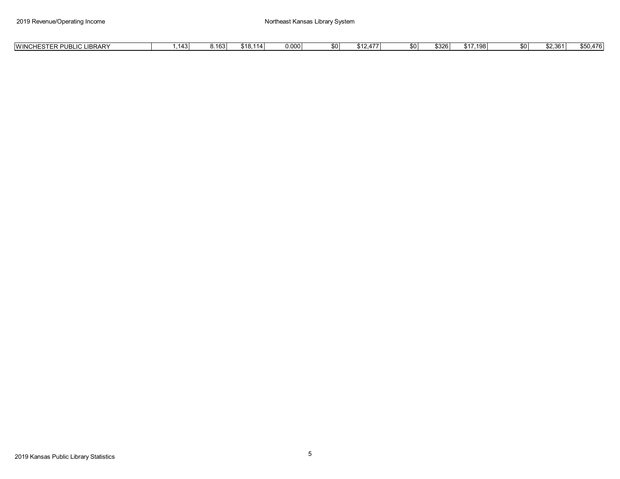| <b>LIBRARY</b><br>\$18.114<br>0.000<br>$^{\sim}$ 17.198<br><b>IWINCHESTER</b><br>\$50.476<br>\$2.361<br>\$0<br>\$0<br>\$0 I<br>8.1631<br>0320ء<br>UNCOIF<br>-טט.<br>1 L .<br>$-10$<br><b>T</b> .J<br>т. |
|---------------------------------------------------------------------------------------------------------------------------------------------------------------------------------------------------------|
|---------------------------------------------------------------------------------------------------------------------------------------------------------------------------------------------------------|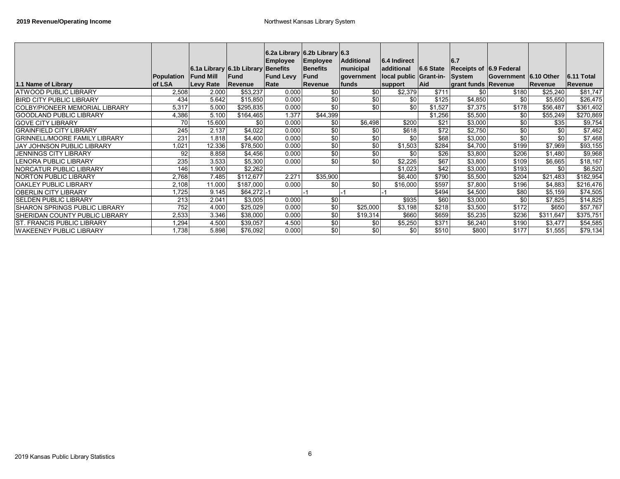|                                       |            |                  | 6.1a Library 6.1b Library Benefits | 6.2a Library 6.2b Library 6.3<br><b>Employee</b> | Employee<br>Benefits | <b>Additional</b><br>municipal | 6.4 Indirect<br>additional    | 6.6 State  | 6.7<br>Receipts of 6.9 Federal |                       |                  |                   |
|---------------------------------------|------------|------------------|------------------------------------|--------------------------------------------------|----------------------|--------------------------------|-------------------------------|------------|--------------------------------|-----------------------|------------------|-------------------|
|                                       | Population | <b>Fund Mill</b> | <b>Fund</b>                        | <b>Fund Levy</b>                                 | lFund                | government                     | local public Grant-in- System |            |                                | Government 6.10 Other |                  | <b>6.11 Total</b> |
| 1.1 Name of Library                   | of LSA     | <b>Levy Rate</b> | Revenue                            | Rate                                             | Revenue              | funds                          | support                       | <b>Aid</b> | grant funds Revenue            |                       | Revenue          | Revenue           |
| <b>ATWOOD PUBLIC LIBRARY</b>          | 2,508      | 2.000            | \$53,237                           | 0.000                                            | \$0                  | \$0                            | \$2,379                       | \$711      | \$0 <sub>1</sub>               | \$180                 | \$25,240         | \$81,747          |
| <b>IBIRD CITY PUBLIC LIBRARY</b>      | 434        | 5.642            | \$15,850                           | 0.000                                            | \$0                  | \$0                            | \$0                           | \$125      | \$4,850                        | \$0                   | \$5,650          | \$26,475          |
| ICOLBY/PIONEER MEMORIAL LIBRARY       | 5,317      | 5.000            | \$295,835                          | 0.000                                            | \$0                  | \$0                            | \$0                           | \$1,527    | \$7,375                        | \$178                 | \$56,487         | \$361,402         |
| <b>GOODLAND PUBLIC LIBRARY</b>        | 4,386      | 5.100            | \$164,465                          | 1.377                                            | \$44,399             |                                |                               | \$1,256    | \$5,500                        | \$0                   | \$55,249         | \$270,869         |
| <b>GOVE CITY LIBRARY</b>              | 70         | 15.600           | \$0 <sub>1</sub>                   | 0.000                                            | \$0                  | \$6,498                        | \$200                         | \$21       | \$3,000                        | \$0                   | \$35             | \$9,754           |
| <b>GRAINFIELD CITY LIBRARY</b>        | 245        | 2.137            | \$4,022                            | 0.000                                            | \$0                  | \$0                            | \$618                         | \$72       | \$2,750                        | \$0                   | \$0 <sub>1</sub> | \$7,462           |
| <b>GRINNELL/MOORE FAMILY LIBRARY</b>  | 231        | 1.818            | \$4,400                            | 0.000                                            | \$0                  | \$0                            | \$0                           | \$68       | \$3,000                        | \$0                   | \$0 <sub>1</sub> | \$7,468           |
| <b>JAY JOHNSON PUBLIC LIBRARY</b>     | 1,021      | 12.336           | \$78,500                           | 0.000                                            | \$0                  | \$0                            | \$1,503                       | \$284      | \$4,700                        | \$199                 | \$7,969          | \$93,155          |
| <b>JENNINGS CITY LIBRARY</b>          | 92         | 8.858            | \$4,456                            | 0.000                                            | \$0                  | \$0                            | \$0                           | \$26       | \$3,800                        | \$206                 | \$1,480          | \$9,968           |
| LENORA PUBLIC LIBRARY                 | 235        | 3.533            | \$5,300                            | 0.000                                            | \$0                  | \$0                            | \$2,226                       | \$67       | \$3,800                        | \$109                 | \$6,665          | \$18,167          |
| <b>NORCATUR PUBLIC LIBRARY</b>        | 146        | 1.900            | \$2,262                            |                                                  |                      |                                | \$1,023                       | \$42       | \$3,000                        | \$193                 | \$0 <sub>1</sub> | \$6,520           |
| <b>INORTON PUBLIC LIBRARY</b>         | 2,768      | 7.485            | \$112,677                          | 2.271                                            | \$35,900             |                                | \$6,400                       | \$790      | \$5,500                        | \$204                 | \$21,483         | \$182,954         |
| <b>IOAKLEY PUBLIC LIBRARY</b>         | 2,108      | 11.000           | \$187,000                          | 0.000                                            | \$0                  | \$0                            | \$16,000                      | \$597      | \$7,800                        | \$196                 | \$4,883          | \$216,476         |
| <b>IOBERLIN CITY LIBRARY</b>          | 1,725      | 9.145            | $$64,272$ -1                       |                                                  |                      |                                |                               | \$494      | \$4,500                        | \$80                  | \$5,159          | \$74,505          |
| <b>ISELDEN PUBLIC LIBRARY</b>         | 213        | 2.041            | \$3,005                            | 0.000                                            | \$0                  |                                | \$935                         | \$60       | \$3,000                        | \$0                   | \$7,825          | \$14,825          |
| <b>ISHARON SPRINGS PUBLIC LIBRARY</b> | 752        | 4.000            | \$25,029                           | 0.000                                            | \$0                  | \$25,000                       | \$3,198                       | \$218      | \$3,500                        | \$172                 | \$650            | \$57,767          |
| ISHERIDAN COUNTY PUBLIC LIBRARY       | 2,533      | 3.346            | \$38,000                           | 0.000                                            | \$0                  | \$19,314                       | \$660                         | \$659      | \$5,235                        | \$236                 | \$311,647        | \$375,751         |
| <b>IST. FRANCIS PUBLIC LIBRARY</b>    | 1,294      | 4.500            | \$39,057                           | 4.500                                            | \$0                  | \$0                            | \$5,250                       | \$371      | \$6,240                        | \$190                 | \$3,477          | \$54,585          |
| <b>WAKEENEY PUBLIC LIBRARY</b>        | 1,738      | 5.898            | \$76,092                           | 0.000                                            | \$0                  | \$0                            | \$0                           | \$510      | \$800                          | \$177                 | \$1,555          | \$79,134          |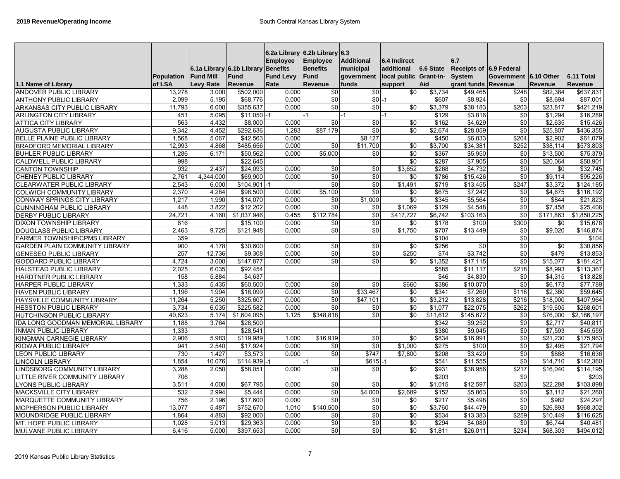| 1.1 Name of Library                                    | Population<br>of LSA | <b>Fund Mill</b><br>Levy Rate | 6.1a Library 6.1b Library Benefits<br><b>Fund</b><br><b>Revenue</b> | <b>Employee</b><br><b>Fund Levy</b><br>Rate | 6.2a Library 6.2b Library 6.3<br><b>Employee</b><br><b>Benefits</b><br>Fund<br>Revenue | <b>Additional</b><br>municipal<br>government<br>funds | 6.4 Indirect<br>additional<br>local public Grant-in-<br>support | 6.6 State<br>Aid | 6.7<br>Receipts of 6.9 Federal<br><b>System</b><br>grant funds Revenue | Government 6.10 Other | Revenue         | 6.11 Total<br>Revenue |
|--------------------------------------------------------|----------------------|-------------------------------|---------------------------------------------------------------------|---------------------------------------------|----------------------------------------------------------------------------------------|-------------------------------------------------------|-----------------------------------------------------------------|------------------|------------------------------------------------------------------------|-----------------------|-----------------|-----------------------|
| <b>ANDOVER PUBLIC LIBRARY</b>                          | 13,278               | 3.000                         | \$502,000                                                           | 0.000                                       | $\overline{50}$                                                                        | $\overline{50}$                                       | $\overline{60}$                                                 | \$3,734          | \$49,465                                                               | \$248                 | \$82.384        | \$637,831             |
|                                                        | 2,099                | 5.195                         | \$68,776                                                            | 0.000                                       | \$0                                                                                    | $$0 - 1$                                              |                                                                 | \$607            | \$8,924                                                                | \$0                   | \$8.694         | \$87,001              |
| ANTHONY PUBLIC LIBRARY<br>ARKANSAS CITY PUBLIC LIBRARY | 11,793               | 6.000                         | \$355,637                                                           | 0.000                                       | \$0                                                                                    | $\overline{50}$                                       | $\overline{60}$                                                 | \$3,379          | \$38,183                                                               | \$203                 | \$23,817        | \$421,219             |
|                                                        | 451                  | 5.095                         | $$11,050 - 1$                                                       |                                             | $-1$                                                                                   |                                                       |                                                                 | \$129            | \$3,816                                                                | \$0                   | \$1.294         | \$16,289              |
| <b>ARLINGTON CITY LIBRARY</b>                          | 563                  | 4.432                         | \$8,000                                                             | 0.000                                       | \$0                                                                                    | -1<br>\$0                                             |                                                                 | \$162            | \$4,629                                                                | \$0                   | \$2,635         | \$15,426              |
| <b>ATTICA CITY LIBRARY</b>                             |                      |                               |                                                                     |                                             |                                                                                        | \$0                                                   | \$0<br>\$0                                                      |                  |                                                                        | \$0                   |                 |                       |
| <b>AUGUSTA PUBLIC LIBRARY</b>                          | 9,342                | 4.452                         | \$292,636                                                           | 1.283                                       | \$87,179                                                                               |                                                       |                                                                 | \$2,674          | \$28,059                                                               |                       | \$25,807        | \$436,355             |
| BELLE PLAINE PUBLIC LIBRARY                            | 1,568                | 5.067                         | \$42,563                                                            | 0.000                                       |                                                                                        | \$8,127                                               |                                                                 | \$450            | \$6,833                                                                | \$204                 | \$2,902         | \$61,079              |
| <b>BRADFORD MEMORIAL LIBRARY</b>                       | 12,993               | 4.868                         | \$485,656                                                           | 0.000                                       | \$0                                                                                    | \$11,700                                              | \$0                                                             | \$3,700          | \$34,381                                                               | \$252                 | \$38,114        | \$573,803             |
| <b>BUHLER PUBLIC LIBRARY</b>                           | 1,286                | 6.171                         | \$50,562                                                            | 0.000                                       | \$5,000                                                                                | \$0                                                   | \$0                                                             | \$367            | \$5,950                                                                | \$0                   | \$13,500        | \$75,379              |
| <b>CALDWELL PUBLIC LIBRARY</b>                         | 998                  |                               | \$22,645                                                            |                                             |                                                                                        |                                                       | \$0                                                             | \$287            | \$7,905                                                                | \$0                   | \$20,064        | \$50,901              |
| <b>CANTON TOWNSHIP</b>                                 | 932                  | 2.437                         | \$24,093                                                            | 0.000                                       | \$0                                                                                    | \$0                                                   | \$3,652                                                         | \$268            | \$4,732                                                                | \$0                   | \$0             | \$32,745              |
| <b>CHENEY PUBLIC LIBRARY</b>                           | 2,761                | 4.344.000                     | \$69.900                                                            | 0.000                                       | \$0                                                                                    | 30                                                    | \$0                                                             | \$786            | \$15.426                                                               | \$0                   | \$9.114         | \$95,226              |
| CLEARWATER PUBLIC LIBRARY                              | 2,543                | 6.000                         | $$104,901$ -1                                                       |                                             | \$0                                                                                    | \$0                                                   | \$1,491                                                         | \$719            | \$13,455                                                               | \$247                 | \$3,372         | \$124,185             |
| <b>COLWICH COMMUNITY LIBRARY</b>                       | 2,370                | 4.284                         | \$98,500                                                            | 0.000                                       | \$5,100                                                                                | \$0                                                   | \$0                                                             | \$675            | \$7,242                                                                | \$0                   | \$4,675         | \$116,192             |
| <b>CONWAY SPRINGS CITY LIBRARY</b>                     | 1,217                | 1.990                         | \$14,070                                                            | 0.000                                       | \$0                                                                                    | \$1,000                                               | \$0                                                             | \$345            | \$5,564                                                                | \$0                   | \$844           | \$21,823              |
| <b>CUNNINGHAM PUBLIC LIBRARY</b>                       | 448                  | 3.822                         | \$12,202                                                            | 0.000                                       | \$0                                                                                    | \$0                                                   | \$1,069                                                         | \$129            | \$4,548                                                                | \$0                   | \$7,458         | \$25,406              |
| <b>DERBY PUBLIC LIBRARY</b>                            | 24,721               | 4.160                         | \$1,037,946                                                         | 0.455                                       | \$112,784                                                                              | \$0                                                   | \$417,727                                                       | \$6,742          | \$103,163                                                              | \$0                   | \$171,863       | \$1,850,225           |
| <b>DIXON TOWNSHIP LIBRARY</b>                          | 616                  |                               | \$15,100                                                            | 0.000                                       | \$0                                                                                    | \$0                                                   | \$0                                                             | \$178            | \$100                                                                  | \$300                 | \$0             | \$15,678              |
| <b>DOUGLASS PUBLIC LIBRARY</b>                         | 2,463                | 9.725                         | \$121,948                                                           | 0.000                                       | \$0                                                                                    | \$0                                                   | \$1,750                                                         | \$707            | \$13,449                                                               | \$0                   | \$9,020         | \$146,874             |
| <b>FARMER TOWNSHIP/CPMS LIBRARY</b>                    | 359                  |                               |                                                                     |                                             |                                                                                        |                                                       |                                                                 | \$104            |                                                                        | \$0                   |                 | \$104                 |
| <b>GARDEN PLAIN COMMUNITY LIBRARY</b>                  | 900                  | 4.178                         | \$30.600                                                            | 0.000                                       | \$0                                                                                    | $\overline{50}$                                       | $\overline{30}$                                                 | \$256            | $\overline{30}$                                                        | $\overline{30}$       | $\overline{30}$ | \$30.856              |
| <b>GENESEO PUBLIC LIBRARY</b>                          | 257                  | 12.736                        | \$9,308                                                             | 0.000                                       | \$0                                                                                    | \$0                                                   | \$250                                                           | \$74             | \$3.742                                                                | $\sqrt{6}$            | \$479           | \$13,853              |
| <b>GODDARD PUBLIC LIBRARY</b>                          | 4,724                | 3.000                         | \$147.877                                                           | 0.000                                       | \$0                                                                                    | $\overline{30}$                                       | \$0                                                             | \$1.352          | \$17.115                                                               | $\overline{30}$       | \$15.077        | \$181.421             |
| <b>HALSTEAD PUBLIC LIBRARY</b>                         | 2,025                | 6.035                         | \$92,454                                                            |                                             |                                                                                        |                                                       |                                                                 | \$585            | \$11,117                                                               | \$218                 | \$8,993         | \$113,367             |
| HARDTNER PUBLIC LIBRARY                                | 158                  | 5.884                         | \$4,637                                                             |                                             |                                                                                        |                                                       |                                                                 | \$46             | \$4,830                                                                | \$0                   | \$4,315         | \$13,828              |
| <b>HARPER PUBLIC LIBRARY</b>                           | 1,333                | 5.435                         | \$60,500                                                            | 0.000                                       | \$0                                                                                    | \$0                                                   | \$660                                                           | \$386            | \$10,070                                                               | \$0                   | \$6,173         | \$77,789              |
| <b>HAVEN PUBLIC LIBRARY</b>                            | 1,196                | 1.994                         | \$16,099                                                            | 0.000                                       | \$0                                                                                    | \$33,467                                              | \$0                                                             | \$341            | \$7,260                                                                | \$118                 | \$2,360         | \$59,645              |
| HAYSVILLE COMMUNITY LIBRARY                            | 11,264               | 5.250                         | \$325,607                                                           | 0.000                                       | \$0                                                                                    | \$47,101                                              | \$0                                                             | \$3,212          | \$13,828                                                               | \$216                 | \$18,000        | \$407,964             |
| <b>HESSTON PUBLIC LIBRARY</b>                          | 3,734                | 6.035                         | \$225,582                                                           | 0.000                                       | \$0                                                                                    | \$0                                                   | \$0                                                             | \$1,077          | \$22,075                                                               | \$262                 | \$19,605        | \$268,601             |
| <b>HUTCHINSON PUBLIC LIBRARY</b>                       | 40,623               | 5.174                         | \$1,604,095                                                         | 1.125                                       | \$348,818                                                                              | \$0                                                   | \$0                                                             | \$11,612         | \$145,672                                                              | \$0                   | \$76,000        | \$2,186,197           |
| IDA LONG GOODMAN MEMORIAL LIBRARY                      | 1,188                | 3.764                         | \$28,500                                                            |                                             |                                                                                        |                                                       |                                                                 | \$342            | \$9,252                                                                | \$0                   | \$2,717         | \$40,811              |
| <b>INMAN PUBLIC LIBRARY</b>                            | 1,333                |                               | \$28,541                                                            |                                             |                                                                                        |                                                       |                                                                 | \$380            | \$9.045                                                                | \$0                   | \$7.593         | \$45,559              |
| KINGMAN CARNEGIE LIBRARY                               | 2,906                | 5.983                         | \$119,989                                                           | 1.000                                       | \$16,919                                                                               | \$0                                                   | \$0                                                             | \$834            | \$16,991                                                               | $\sqrt{6}$            | \$21,230        | \$175,963             |
| KIOWA PUBLIC LIBRARY                                   | 941                  | 2.540                         | \$17,924                                                            | 0.000                                       | \$0                                                                                    | \$0                                                   | \$1,000                                                         | \$275            | \$100                                                                  | \$0                   | \$2,495         | \$21,794              |
| <b>EON PUBLIC LIBRARY</b>                              | 730                  | 1.427                         | \$3,573                                                             | 0.000                                       | \$0                                                                                    | \$747                                                 | \$7,800                                                         | \$208            | \$3,420                                                                | \$0                   | \$888           | \$16,636              |
| <b>INCOLN LIBRARY</b>                                  | 1,854                | 10.076                        | $$114,939-1$                                                        |                                             |                                                                                        | $$615 - 1$                                            |                                                                 | \$541            | \$11,555                                                               | \$0                   | \$14,710        | \$142,360             |
| INDSBORG COMMUNITY LIBRARY                             | 3,288                | 2.050                         | \$58,051                                                            | 0.000                                       | \$0                                                                                    | \$0                                                   | \$0                                                             | \$931            | \$38,956                                                               | \$217                 | \$16,040        | \$114,195             |
| <b>ITTLE RIVER COMMUNITY LIBRARY</b>                   | 706                  |                               |                                                                     |                                             |                                                                                        |                                                       |                                                                 | \$203            |                                                                        | \$0                   |                 | \$203                 |
| YONS PUBLIC LIBRARY                                    | 3,51'                | 4.000                         | \$67,795                                                            | 0.000                                       | \$0                                                                                    | \$0                                                   | \$0                                                             | \$1,015          | \$12,597                                                               | \$203                 | \$22,288        | \$103,898             |
| MACKSVILLE CITY LIBRARY                                | 532                  | 2.994                         | \$5,444                                                             | 0.000                                       | \$0                                                                                    | \$4,000                                               | \$2,689                                                         | \$152            | \$5,863                                                                | \$0                   | \$3,112         | \$21,260              |
| MARQUETTE COMMUNITY LIBRARY                            | 756                  | 2.196                         | \$17,600                                                            | 0.000                                       | \$0                                                                                    | \$0                                                   | \$0                                                             | \$217            | \$5.498                                                                | \$0                   | \$982           | \$24,297              |
| <b>MCPHERSON PUBLIC LIBRARY</b>                        | 13.077               | 5.487                         | \$752.670                                                           | 1.010                                       | \$140.500                                                                              | \$0                                                   | \$0                                                             | \$3,760          | \$44.479                                                               | \$0                   | \$26.893        | \$968.302             |
| <b>MOUNDRIDGE PUBLIC LIBRARY</b>                       | 1.864                | 4.883                         | \$92,000                                                            | 0.000                                       | \$0                                                                                    | \$0                                                   | \$0                                                             | \$534            | \$13,383                                                               | \$259                 | \$10.449        | \$116,625             |
| MT. HOPE PUBLIC LIBRARY                                | 1,028                | 5.013                         | \$29,363                                                            | 0.000                                       | \$0                                                                                    | \$0                                                   | \$0                                                             | \$294            | \$4,080                                                                | \$0                   | \$6,744         | \$40,481              |
| MULVANE PUBLIC LIBRARY                                 | 6,416                | 5.000                         | \$397,653                                                           | 0.000                                       | \$0                                                                                    | \$0                                                   | $\sqrt{6}$                                                      | \$1,811          | \$26,011                                                               | \$234                 | \$68,303        | \$494,012             |
|                                                        |                      |                               |                                                                     |                                             |                                                                                        |                                                       |                                                                 |                  |                                                                        |                       |                 |                       |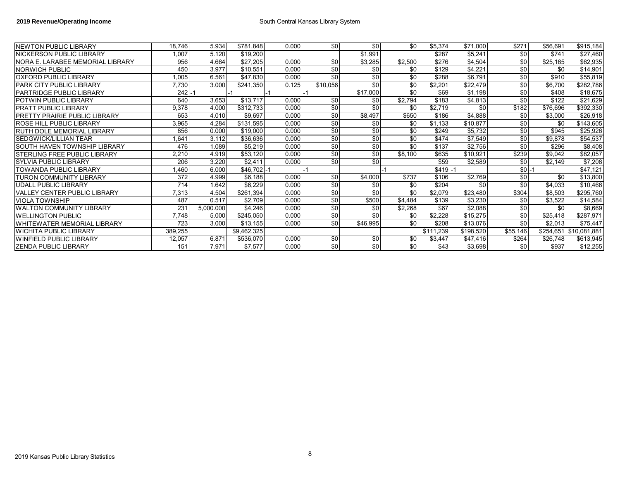| <b>INEWTON PUBLIC LIBRARY</b>         | 18,746  | 5.934     | \$781,848    | 0.000 | \$0 <sub>1</sub> | \$0             | \$0             | \$5,374   | \$71,000  | \$271            | \$56,691  | \$915,184    |
|---------------------------------------|---------|-----------|--------------|-------|------------------|-----------------|-----------------|-----------|-----------|------------------|-----------|--------------|
| NICKERSON PUBLIC LIBRARY              | 1.007   | 5.120     | \$19,200     |       |                  | \$1,991         |                 | \$287     | \$5,241   | \$0              | \$741     | \$27,460     |
| NORA E. LARABEE MEMORIAL LIBRARY      | 956     | 4.664     | \$27,205     | 0.000 | \$0              | \$3,285         | \$2,500         | \$276     | \$4,504   | \$0              | \$25,165  | \$62,935     |
| NORWICH PUBLIC                        | 450     | 3.977     | \$10,551     | 0.000 | \$0              | \$0             | \$0             | \$129     | \$4,221   | \$0              | \$0       | \$14,901     |
| IOXFORD PUBLIC LIBRARY                | 1,005   | 6.561     | \$47,830     | 0.000 | \$0              | \$0             | \$0             | \$288     | \$6,791   | \$0              | \$910     | \$55,819     |
| PARK CITY PUBLIC LIBRARY              | 7,730   | 3.000     | \$241,350    | 0.125 | \$10,056         | \$0             | \$0             | \$2,201   | \$22,479  | \$0              | \$6,700   | \$282,786    |
| PARTRIDGE PUBLIC LIBRARY              | $242 -$ |           |              |       |                  | \$17,000        | \$0             | \$69      | \$1,198   | \$0              | \$408     | \$18,675     |
| POTWIN PUBLIC LIBRARY                 | 640     | 3.653     | \$13,717     | 0.000 | \$0              | \$0             | \$2,794         | \$183     | \$4,813   | \$0              | \$122     | \$21,629     |
| IPRATT PUBLIC LIBRARY                 | 9,378   | 4.000     | \$312,733    | 0.000 | \$0              | \$0             | \$0             | \$2,719   | \$0       | \$182            | \$76,696  | \$392,330    |
| <b>IPRETTY PRAIRIE PUBLIC LIBRARY</b> | 653     | 4.010     | \$9,697      | 0.000 | \$0              | \$8,497         | \$650           | \$186     | \$4,888   | \$0              | \$3,000   | \$26,918     |
| <b>ROSE HILL PUBLIC LIBRARY</b>       | 3,965   | 4.284     | \$131,595    | 0.000 | \$0              | \$0             | \$0             | \$1,133   | \$10,877  | \$0              | \$0       | \$143,605    |
| IRUTH DOLE MEMORIAL LIBRARY           | 856     | 0.000     | \$19,000     | 0.000 | \$0              | \$0             | \$0             | \$249     | \$5,732   | \$0              | \$945     | \$25,926     |
| <b>SEDGWICK/LILLIAN TEAR</b>          | .641    | 3.112     | \$36,636     | 0.000 | $\frac{6}{5}$    | $\overline{50}$ | $\overline{50}$ | \$474     | \$7,549   | \$0              | \$9,878   | \$54,537     |
| <b>SOUTH HAVEN TOWNSHIP LIBRARY</b>   | 476     | 1.089     | \$5,219      | 0.000 | \$0              | \$0             | \$0             | \$137     | \$2,756   | \$0              | \$296     | \$8,408      |
| <b>STERLING FREE PUBLIC LIBRARY</b>   | 2,210   | 4.919     | \$53,120     | 0.000 | \$0              | \$0             | \$8,100         | \$635     | \$10,921  | \$239            | \$9,042   | \$82,057     |
| İSYLVIA PUBLIC LIBRARY                | 206     | 3.220     | \$2,411      | 0.000 | \$0              | \$0             |                 | \$59      | \$2,589   | \$0              | \$2,149   | \$7,208      |
| <b>TOWANDA PUBLIC LIBRARY</b>         | 1,460   | 6.000     | $$46.702$ -1 |       |                  |                 |                 | $$419$ -  |           | $$0 - 1$         |           | \$47,121     |
| <b>TURON COMMUNITY LIBRARY</b>        | 372     | 4.999     | \$6,188      | 0.000 | \$0              | \$4,000         | \$737           | \$106     | \$2,769   | \$0 <sub>1</sub> | \$0       | \$13,800     |
| UDALL PUBLIC LIBRARY                  | 714     | 1.642     | \$6,229      | 0.000 | \$0              | \$0             | \$0             | \$204     | \$0       | \$0              | \$4,033   | \$10,466     |
| IVALLEY CENTER PUBLIC LIBRARY         | 7,313   | 4.504     | \$261,394    | 0.000 | \$0              | \$0             | \$0             | \$2,079   | \$23,480  | \$304            | \$8,503   | \$295,760    |
| <b>VIOLA TOWNSHIP</b>                 | 487     | 0.517     | \$2,709      | 0.000 | $\frac{6}{5}$    | \$500           | \$4,484         | \$139     | \$3,230   | \$0              | \$3,522   | \$14,584     |
| WALTON COMMUNITY LIBRARY              | 231     | 5,000.000 | \$4,246      | 0.000 | \$0              | \$0             | \$2,268         | \$67      | \$2,088   | \$0              | \$0       | \$8,669      |
| <b>IWELLINGTON PUBLIC</b>             | 7,748   | 5.000     | \$245,050    | 0.000 | \$0              | \$0             | \$0             | \$2,228   | \$15,275  | \$0              | \$25,418  | \$287,971    |
| <b>WHITEWATER MEMORIAL LIBRARY</b>    | 723     | 3.000     | \$13,155     | 0.000 | \$0              | \$46,995        | \$0             | \$208     | \$13,076  | \$0              | \$2,013   | \$75,447     |
| WICHITA PUBLIC LIBRARY                | 389,255 |           | \$9,462,325  |       |                  |                 |                 | \$111,239 | \$198,520 | \$55,146         | \$254,651 | \$10,081,881 |
| WINFIELD PUBLIC LIBRARY               | 12,057  | 6.871     | \$536,070    | 0.000 | \$0              | \$0             | \$0             | \$3,447   | \$47,416  | \$264            | \$26,748  | \$613,945    |
| IZENDA PUBLIC LIBRARY                 | 151     | 7.971     | \$7,577      | 0.000 | \$0              | $\frac{6}{5}$   | $\overline{50}$ | \$43      | \$3,698   | \$0              | \$937     | \$12,255     |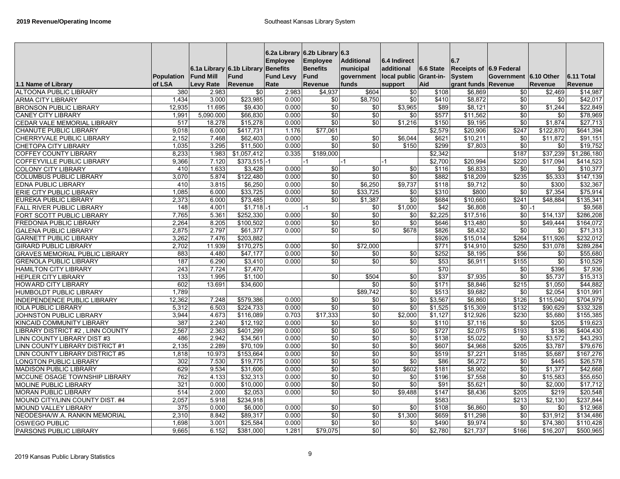|                                                               | Population     | 6.1a Library 6.1b Library<br><b>Fund Mill</b> | Fund                     | <b>Employee</b><br><b>Benefits</b><br><b>Fund Levy</b> | 6.2a Library 6.2b Library 6.3<br><b>Employee</b><br><b>Benefits</b><br>Fund | <b>Additional</b><br>municipal<br>government | 6.4 Indirect<br>additional<br>local public Grant-in- | 6.6 State        | 6.7<br>Receipts of 6.9 Federal<br><b>System</b> | Government 6.10 Other  |                 | 6.11 Total            |
|---------------------------------------------------------------|----------------|-----------------------------------------------|--------------------------|--------------------------------------------------------|-----------------------------------------------------------------------------|----------------------------------------------|------------------------------------------------------|------------------|-------------------------------------------------|------------------------|-----------------|-----------------------|
| 1.1 Name of Library                                           | of LSA         | <b>Levy Rate</b>                              | <b>Revenue</b>           | Rate                                                   | Revenue                                                                     | funds                                        | support                                              | Aid              | grant funds Revenue                             |                        | <b>Revenue</b>  | <b>Revenue</b>        |
| <b>ALTOONA PUBLIC LIBRARY</b>                                 | 380            | 2.983                                         | \$0                      | 2.983                                                  | \$4,937                                                                     | \$604                                        | \$0                                                  | \$108            | \$6,869                                         | \$0                    | \$2,469         | \$14,987              |
| <b>ARMA CITY LIBRARY</b>                                      | 1,434          | 3.000                                         | \$23,985                 | 0.000                                                  | \$0                                                                         | \$8,750                                      | $\frac{6}{3}$                                        | \$410            | \$8,872                                         | $\sqrt{6}$             | \$0             | \$42,017              |
| <b>BRONSON PUBLIC LIBRARY</b>                                 | 12,935         | 11.695                                        | \$9.430                  | 0.000                                                  | \$0                                                                         | \$0                                          | \$3,965                                              | \$89             | \$8,121                                         | $\sqrt{6}$             | \$1,244         | \$22.849              |
| <b>CANEY CITY LIBRARY</b>                                     | 1,991          | 5,090.000                                     | \$66,830                 | 0.000                                                  | \$0                                                                         | \$0                                          | \$0                                                  | \$577            | \$11,562                                        | \$0                    | \$0             | \$78,969              |
| CEDAR VALE MEMORIAL LIBRARY                                   | 517            | 18.278                                        | \$15,278                 | 0.000                                                  | $\sqrt{6}$                                                                  | \$0                                          | $\sqrt{31,216}$                                      | \$150            | \$9,195                                         | \$0                    | \$1,874         | \$27,713              |
| <b>CHANUTE PUBLIC LIBRARY</b>                                 | 9,018          | 6.000                                         | \$417,731                | 1.176                                                  | \$77,061                                                                    |                                              |                                                      | \$2,579          | \$20,906                                        | \$247                  | \$122,870       | \$641,394             |
| <b>CHERRYVALE PUBLIC LIBRARY</b>                              | 2,152          | 7.468                                         | \$62,403                 | 0.000                                                  | \$0                                                                         | \$0                                          | \$6,044                                              | \$621            | \$10,211                                        | \$0                    | \$11,872        | \$91,151              |
| <b>CHETOPA CITY LIBRARY</b>                                   | 1.035          | 3.295                                         | \$11,500                 | 0.000                                                  | \$0                                                                         | \$0                                          | \$150                                                | \$299            | \$7,803                                         | $\sqrt{6}$             | \$0             | \$19,752              |
| <b>COFFEY COUNTY LIBRARY</b>                                  | 8,233          | 1.983                                         | \$1,057,412              | 0.335                                                  | \$189,000                                                                   |                                              |                                                      | \$2,342          |                                                 | \$187                  | \$37,239        | \$1,286,180           |
| <b>COFFEYVILLE PUBLIC LIBRARY</b>                             | 9,366          | 7.120                                         | $$373,515$ -1            |                                                        |                                                                             | $-1$                                         | $-1$                                                 | \$2,700          | \$20,994                                        | \$220                  | \$17.094        | \$414,523             |
| <b>COLONY CITY LIBRARY</b>                                    | 410            | 1.633                                         | 3,428                    | 0.000                                                  | \$0                                                                         | \$0                                          | \$0                                                  | \$116            | \$6,833                                         | \$0                    | \$0             | \$10,377              |
| <b>COLUMBUS PUBLIC LIBRARY</b>                                | 3.070          | 5.874                                         | \$122.480                | 0.000                                                  | $\sqrt{6}$                                                                  | \$0                                          | $\overline{50}$                                      | \$882            | \$18,209                                        | \$235                  | \$5,333         | \$147.139             |
| <b>EDNA PUBLIC LIBRARY</b>                                    | 410            | 3.815                                         | \$6,250                  | 0.000                                                  | \$0                                                                         | \$6,250                                      | \$9,737                                              | \$118            | \$9,712                                         | \$0                    | \$300           | \$32,367              |
| <b>ERIE CITY PUBLIC LIBRARY</b>                               | 1.085          | 6.000                                         | \$33.725                 | 0.000                                                  | \$0                                                                         | \$33.725                                     | \$0                                                  | \$310            | \$800                                           | $\overline{30}$        | \$7.354         | \$75.914              |
| <b>EUREKA PUBLIC LIBRARY</b>                                  | 2,373          | 6.000                                         | \$73,485                 | 0.000                                                  | \$0                                                                         | \$1,387                                      | $\overline{50}$                                      | \$684            | \$10,660                                        | \$241                  | \$48.884        | \$135,341             |
| <b>FALL RIVER PUBLIC LIBRARY</b>                              | 148<br>7,765   | 4.001                                         | $$1,718$ -1<br>\$252,330 |                                                        | $\sqrt{50}$                                                                 | \$0<br>$\overline{50}$                       | \$1.000<br>\$0                                       | \$42             | \$6,808                                         | $$0 - 1$               |                 | \$9,568               |
| FORT SCOTT PUBLIC LIBRARY                                     |                | 5.361                                         |                          | 0.000                                                  |                                                                             |                                              |                                                      | \$2,225          | \$17,516                                        | \$0                    | \$14,137        | \$286,208             |
| <b>FREDONIA PUBLIC LIBRARY</b>                                | 2,264<br>2.875 | 8.205<br>2.797                                | \$100,502<br>\$61.377    | 0.000<br>0.000                                         | \$0<br>\$0                                                                  | \$0<br>\$0                                   | \$0<br>\$678                                         | \$646<br>\$826   | \$13,480                                        | \$0<br>$\overline{30}$ | \$49.444<br>\$0 | \$164,072             |
| <b>GALENA PUBLIC LIBRARY</b><br><b>GARNETT PUBLIC LIBRARY</b> | 3,262          | 7.476                                         | \$203,882                |                                                        |                                                                             |                                              |                                                      | \$926            | \$8,432<br>\$15.014                             | \$264                  | \$11,926        | \$71,313<br>\$232.012 |
| <b>GIRARD PUBLIC LIBRARY</b>                                  | 2.702          | 11.939                                        | \$170.275                | 0.000                                                  | \$0                                                                         | \$72.000                                     |                                                      | \$771            | \$14,910                                        | \$250                  | \$31.078        | \$289.284             |
| <b>GRAVES MEMORIAL PUBLIC LIBRARY</b>                         | 883            | 4.480                                         | \$47.177                 | 0.000                                                  | $\sqrt{6}$                                                                  | \$0                                          | \$0                                                  | \$252            | \$8,195                                         | \$56                   | \$0             | \$55.680              |
| <b>GRENOLA PUBLIC LIBRARY</b>                                 | 187            | 6.290                                         | \$3.410                  | 0.000                                                  | $\overline{30}$                                                             | $\overline{30}$                              | $\overline{50}$                                      | $\overline{$53}$ | \$6.911                                         | \$155                  | $\overline{30}$ | \$10.529              |
| <b>HAMILTON CITY LIBRARY</b>                                  | 243            | 7.724                                         | \$7.470                  |                                                        |                                                                             |                                              |                                                      | \$70             |                                                 | \$0                    | \$396           | \$7,936               |
| <b>HEPLER CITY LIBRARY</b>                                    | 133            | 1.995                                         | \$1.100                  |                                                        | \$0                                                                         | \$504                                        | \$0                                                  | $\overline{$37}$ | \$7.935                                         | \$0                    | \$5.737         | \$15.313              |
| <b>HOWARD CITY LIBRARY</b>                                    | 602            | 13.691                                        | \$34.600                 |                                                        |                                                                             | \$0                                          | \$0                                                  | \$171            | \$8.846                                         | \$215                  | \$1.050         | \$44.882              |
| HUMBOLDT PUBLIC LIBRARY                                       | 1.789          |                                               |                          |                                                        |                                                                             | \$89.742                                     | \$0                                                  | \$513            | \$9.682                                         | \$0                    | \$2.054         | \$101.991             |
| INDEPENDENCE PUBLIC LIBRARY                                   | 12,362         | 7.248                                         | \$579,386                | 0.000                                                  | \$0                                                                         | \$0                                          | $\overline{50}$                                      | \$3,567          | \$6.860                                         | \$126                  | \$115.040       | \$704.979             |
| <b>IOLA PUBLIC LIBRARY</b>                                    | 5,312          | 6.503                                         | \$224.733                | 0.000                                                  | \$0                                                                         | \$0                                          | \$0                                                  | \$1.525          | \$15,309                                        | \$132                  | \$90.629        | \$332.328             |
| JOHNSTON PUBLIC LIBRARY                                       | 3,944          | 4.673                                         | \$116,089                | 0.703                                                  | \$17,333                                                                    | \$0                                          | \$2,000                                              | \$1,127          | \$12,926                                        | \$230                  | \$5,680         | \$155,385             |
| KINCAID COMMUNITY LIBRARY                                     | 387            | 2.240                                         | \$12,192                 | 0.000                                                  | \$0                                                                         | \$0                                          | \$0                                                  | \$110            | \$7,116                                         | \$0                    | \$205           | \$19,623              |
| LIBRARY DISTRICT #2, LINN COUNTY                              | 2,567          | 2.363                                         | \$401,299                | 0.000                                                  | $\sqrt{6}$                                                                  | $\sqrt{6}$                                   | $\frac{6}{5}$                                        | \$727            | \$2,075                                         | \$193                  | \$136           | \$404,430             |
| LINN COUNTY LIBRARY DIST #3                                   | 486            | 2.942                                         | \$34,561                 | 0.000                                                  | \$0                                                                         | \$0                                          | $\overline{50}$                                      | \$138            | \$5,022                                         | \$0                    | \$3,572         | \$43,293              |
| LINN COUNTY LIBRARY DISTRICT #1                               | 2,135          | 2.289                                         | \$70.109                 | 0.000                                                  | \$0                                                                         | \$0                                          | \$0                                                  | \$607            | \$4,968                                         | \$205                  | \$3.787         | \$79,676              |
| LINN COUNTY LIBRARY DISTRICT #5                               | 1,818          | 10.973                                        | \$153,664                | 0.000                                                  | \$0                                                                         | $\sqrt{6}$                                   | $\frac{6}{5}$                                        | \$519            | \$7,221                                         | \$185                  | \$5,687         | \$167,276             |
| <b>LONGTON PUBLIC LIBRARY</b>                                 | 302            | 7.530                                         | \$19,775                 | 0.000                                                  | \$0                                                                         | \$0                                          | \$0                                                  | \$86             | \$6,272                                         | \$0                    | \$445           | \$26,578              |
| <b>MADISON PUBLIC LIBRARY</b>                                 | 629            | 9.534                                         | \$31,606                 | 0.000                                                  | \$0                                                                         | \$0                                          | \$602                                                | \$181            | \$8,902                                         | \$0                    | \$1,377         | \$42,668              |
| MCCUNE OSAGE TOWNSHIP LIBRARY                                 | 762            | 4.133                                         | \$32,313                 | 0.000                                                  | \$0                                                                         | \$0                                          | \$0                                                  | \$196            | \$7,558                                         | \$0                    | \$15,583        | \$55,650              |
| <b>MOLINE PUBLIC LIBRARY</b>                                  | 321            | 0.000                                         | \$10,000                 | 0.000                                                  | \$0                                                                         | \$0                                          | \$0                                                  | \$91             | \$5,621                                         | \$0                    | \$2,000         | \$17,712              |
| <b>MORAN PUBLIC LIBRARY</b>                                   | 514            | 2.000                                         | \$2,053                  | 0.000                                                  | \$0                                                                         | \$0                                          | \$9,488                                              | \$147            | \$8,436                                         | \$205                  | \$219           | \$20,548              |
| MOUND CITY/LINN COUNTY DIST. #4                               | 2,057          | 5.918                                         | \$234,918                |                                                        |                                                                             |                                              |                                                      | \$583            |                                                 | \$213                  | \$2,130         | \$237,844             |
| MOUND VALLEY LIBRARY                                          | 375            | 0.000                                         | \$6,000                  | 0.000                                                  | \$0                                                                         | \$0                                          | \$0                                                  | \$108            | \$6,860                                         | \$0                    | \$0             | \$12,968              |
| NEODESHA/W.A. RANKIN MEMORIAL                                 | 2,310          | 8.842                                         | \$89,317                 | 0.000                                                  | $\overline{60}$                                                             | \$0                                          | \$1,300                                              | \$659            | \$11,298                                        | $\overline{50}$        | \$31,912        | \$134,486             |
| <b>OSWEGO PUBLIC</b>                                          | 1,698          | 3.001                                         | \$25,584                 | 0.000                                                  | \$0                                                                         | \$0                                          | \$0                                                  | \$490            | \$9,974                                         | \$0                    | \$74,380        | \$110,428             |
| PARSONS PUBLIC LIBRARY                                        | 9.665          | 6.152                                         | \$381,000                | 1.281                                                  | \$79,075                                                                    | \$0                                          | \$0                                                  | \$2,780          | \$21,737                                        | \$166                  | \$16,207        | \$500,965             |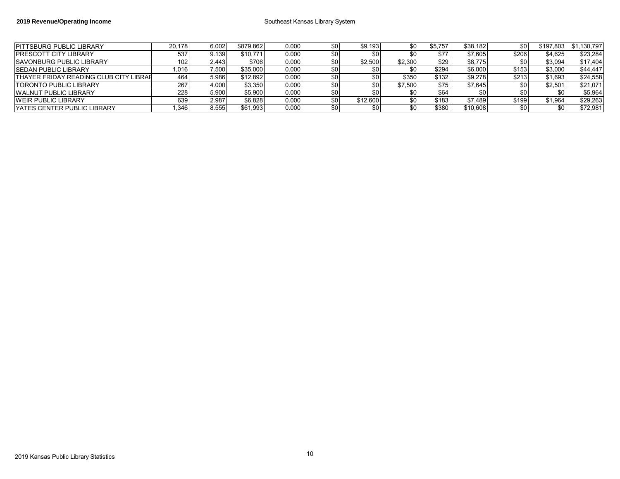| <b>IPITTSBURG PUBLIC LIBRARY</b>              | 20.178 | 6.002 | \$879.862 | 0.000 | \$0 | \$9,193  | \$0     | \$5.757 | \$38.182 | \$0   | \$197.803 | \$1,130,797 |
|-----------------------------------------------|--------|-------|-----------|-------|-----|----------|---------|---------|----------|-------|-----------|-------------|
| <b>IPRESCOTT CITY LIBRARY</b>                 | 537    | 9.139 | \$10.771  | 0.000 | \$0 |          | \$0     | \$77    | \$7,605  | \$206 | \$4,625   | \$23,284    |
| <b>SAVONBURG PUBLIC LIBRARY</b>               | 102.   | 2.443 | \$706     | 0.000 | \$0 | \$2,500  | \$2,300 | \$29    | \$8,775  |       | \$3,094   | \$17,404    |
| <b>ISEDAN PUBLIC LIBRARY</b>                  | ,016   | 7.500 | \$35,000  | 0.000 | \$0 |          |         | \$294   | \$6,000  | \$153 | \$3,000   | \$44,447    |
| <b>THAYER FRIDAY READING CLUB CITY LIBRAH</b> | 464    | 5.986 | \$12.892  | 0.000 | \$0 |          | \$350   | \$132   | \$9,278  | \$213 | \$1,693   | \$24,558    |
| <b>TORONTO PUBLIC LIBRARY</b>                 | 267    | 4.000 | \$3,350   | 0.000 | \$0 |          | \$7.500 | \$75    | \$7,645  |       | \$2,501   | \$21,071    |
| <b>WALNUT PUBLIC LIBRARY</b>                  | 228    | 5.900 | \$5,900   | 0.000 | \$0 |          | \$0     | \$64    |          |       |           | \$5,964     |
| <b>WEIR PUBLIC LIBRARY</b>                    | 639    | 2.987 | \$6,828   | 0.000 | \$0 | \$12,600 | \$0     | \$183   | \$7,489  | \$199 | \$1,964   | \$29,263    |
| <b>IYATES CENTER PUBLIC LIBRARY</b>           | .346   | 8.555 | \$61,993  | 0.000 | \$0 |          | \$0     | \$380   | \$10,608 | \$0   |           | \$72,981    |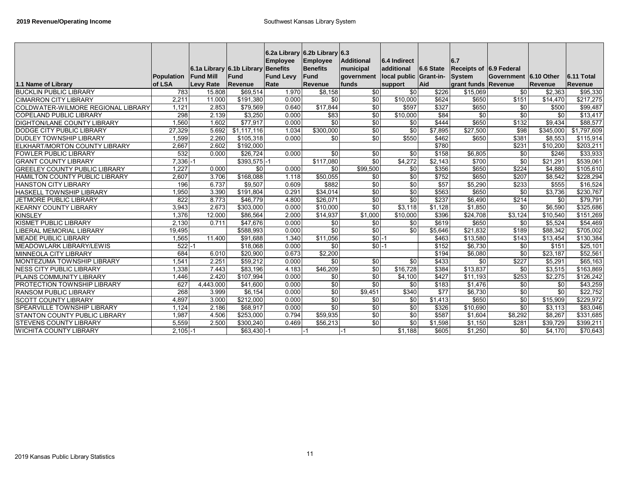|                                       |             |                  |                           | 6.2a Library 6.2b Library 6.3 |                 |                   |                        |                  |                         |                       |           |                       |
|---------------------------------------|-------------|------------------|---------------------------|-------------------------------|-----------------|-------------------|------------------------|------------------|-------------------------|-----------------------|-----------|-----------------------|
|                                       |             |                  |                           | <b>Employee</b>               | <b>Employee</b> | <b>Additional</b> | 6.4 Indirect           |                  | 6.7                     |                       |           |                       |
|                                       |             |                  | 6.1a Library 6.1b Library | Benefits                      | <b>Benefits</b> | municipal         | additional             | 6.6 State        | Receipts of 6.9 Federal |                       |           |                       |
|                                       | Population  | <b>Fund Mill</b> | Fund                      | <b>Fund Levy</b>              | <b>Fund</b>     | government        | local public Grant-in- |                  | System                  | Government 6.10 Other |           | 6.11 Total            |
| 1.1 Name of Library                   | of LSA      | <b>Levy Rate</b> | Revenue                   | Rate                          | Revenue         | funds             | support                | Aid              | grant funds Revenue     |                       | Revenue   | Revenue               |
| <b>BUCKLIN PUBLIC LIBRARY</b>         | 783         | 15.808           | \$69,514                  | 1.970                         | \$8,158         | $\frac{1}{6}$     | \$0                    | \$226            | \$15,069                | $\frac{6}{5}$         | \$2,363   | \$95,330              |
| <b>CIMARRON CITY LIBRARY</b>          | 2,211       | 11.000           | \$191,380                 | 0.000                         | \$0             | \$0               | \$10,000               | \$624            | \$650                   | \$151                 | \$14,470  | $\overline{$}217,275$ |
| COLDWATER-WILMORE REGIONAL LIBRARY    | 1,121       | 2.853            | \$79,569                  | 0.640                         | \$17,844        | $\frac{6}{3}$     | \$597                  | \$327            | \$650                   | \$0                   | \$500     | \$99,487              |
| <b>COPELAND PUBLIC LIBRARY</b>        | 298         | 2.139            | \$3,250                   | 0.000                         | \$83            | \$0               | \$10,000               | \$84             | \$0                     | \$0                   | \$0       | \$13,417              |
| <b>DIGHTON/LANE COUNTY LIBRARY</b>    | 1,560       | 1.602            | \$77,917                  | 0.000                         | $\overline{50}$ | \$0               | $\frac{6}{5}$          | \$444            | \$650                   | \$132                 | \$9,434   | \$88,577              |
| DODGE CITY PUBLIC LIBRARY             | 27,329      | 5.692            | \$1,117,116               | 1.034                         | \$300,000       | \$0               | \$0                    | \$7,895          | \$27,500                | \$98                  | \$345,000 | \$1,797,609           |
| <b>DUDLEY TOWNSHIP LIBRARY</b>        | 1,599       | 2.260            | \$105,318                 | 0.000                         | \$0             | $\frac{6}{5}$     | \$550                  | \$462            | \$650                   | \$381                 | \$8,553   | \$115,914             |
| ELKHART/MORTON COUNTY LIBRARY         | 2,667       | 2.602            | \$192,000                 |                               |                 |                   |                        | \$780            |                         | \$231                 | \$10,200  | \$203,211             |
| <b>FOWLER PUBLIC LIBRARY</b>          | 532         | 0.000            | \$26,724                  | 0.000                         | $\overline{50}$ | $\frac{6}{5}$     | \$0                    | \$158            | \$6,805                 | \$0                   | \$246     | \$33,933              |
| <b>GRANT COUNTY LIBRARY</b>           | $7,336 - 1$ |                  | $$393,575$ -1             |                               | \$117,080       | \$0               | \$4,272                | \$2,143          | \$700                   | \$0                   | \$21,291  | \$539,061             |
| <b>GREELEY COUNTY PUBLIC LIBRARY</b>  | 1.227       | 0.000            | $\overline{30}$           | 0.000                         | $\overline{30}$ | \$99,500          | \$0                    | \$356            | \$650                   | \$224                 | \$4,880   | \$105,610             |
| <b>HAMILTON COUNTY PUBLIC LIBRARY</b> | 2,607       | 3.706            | \$168,088                 | 1.118                         | \$50,055        | \$0               | $\frac{6}{5}$          | \$752            | \$650                   | \$207                 | \$8,542   | \$228,294             |
| <b>HANSTON CITY LIBRARY</b>           | 196         | 6.737            | \$9,507                   | 0.609                         | \$882           | $\frac{6}{5}$     | \$0                    | $\overline{$57}$ | \$5,290                 | \$233                 | \$555     | \$16,524              |
| <b>HASKELL TOWNSHIP LIBRARY</b>       | 1,950       | 3.390            | \$191,804                 | 0.291                         | \$34,014        | \$0               | $\frac{6}{5}$          | \$563            | \$650                   | \$0                   | \$3,736   | \$230,767             |
| <b>JETMORE PUBLIC LIBRARY</b>         | 822         | 8.773            | \$46,779                  | 4.800                         | \$26,071        | $\frac{6}{5}$     | \$0                    | \$237            | \$6,490                 | \$214                 | \$0       | \$79,791              |
| <b>KEARNY COUNTY LIBRARY</b>          | 3,943       | 2.673            | \$303.000                 | 0.000                         | \$10.000        | \$0               | \$3,118                | \$1.128          | \$1,850                 | \$0                   | \$6.590   | \$325,686             |
| <b>KINSLEY</b>                        | 1.376       | 12.000           | \$86.564                  | 2.000                         | \$14,937        | \$1,000           | \$10.000               | \$396            | \$24.708                | \$3.124               | \$10.540  | \$151,269             |
| <b>KISMET PUBLIC LIBRARY</b>          | 2.130       | 0.711            | \$47.676                  | 0.000                         | \$0             | \$0               | \$0                    | \$619            | \$650                   | \$0                   | \$5.524   | \$54,469              |
| <b>IBERAL MEMORIAL LIBRARY</b>        | 19,495      |                  | \$588,993                 | 0.000                         | $\sqrt{50}$     | $\frac{6}{5}$     | \$0                    | \$5,646          | \$21,832                | \$189                 | \$88,342  | \$705,002             |
| <b>MEADE PUBLIC LIBRARY</b>           | 1,565       | 11.400           | \$91,688                  | 1.340                         | \$11,056        | $$0 -1$           |                        | \$463            | \$13,580                | \$143                 | \$13,454  | \$130,384             |
| MEADOWLARK LIBRARY/LEWIS              | $522 - 1$   |                  | \$18,068                  | 0.000                         | $\overline{50}$ | $$0$ -1           |                        | \$152            | \$6,730                 | \$0                   | \$151     | \$25,101              |
| MINNEOLA CITY LIBRARY                 | 684         | 6.010            | \$20,900                  | 0.673                         | \$2,200         |                   |                        | \$194            | \$6,080                 | \$0                   | \$23,187  | \$52,561              |
| <b>MONTEZUMA TOWNSHIP LIBRARY</b>     | 1,541       | 2.251            | \$59,212                  | 0.000                         | \$0             | \$0               | \$0                    | \$433            | $\frac{6}{5}$           | \$227                 | \$5,291   | \$65,163              |
| <b>NESS CITY PUBLIC LIBRARY</b>       | 1,338       | 7.443            | \$83,196                  | 4.183                         | \$46,209        | $\frac{6}{5}$     | \$16,728               | \$384            | \$13,837                | \$0                   | \$3,515   | \$163,869             |
| PLAINS COMMUNITY LIBRARY              | 1.446       | 2.420            | \$107,994                 | 0.000                         | \$0             | \$0               | \$4,100                | \$427            | \$11,193                | \$253                 | \$2,275   | \$126,242             |
| PROTECTION TOWNSHIP LIBRARY           | 627         | 4,443.000        | $\sqrt{$41,600}$          | 0.000                         | \$0             | \$0               | \$0                    | \$183            | \$1,476                 | \$0                   | \$0       | \$43,259              |
| <b>RANSOM PUBLIC LIBRARY</b>          | 268         | 3.999            | \$6,154                   | 0.000                         | $\overline{50}$ | \$9,451           | \$340                  | \$77             | \$6,730                 | \$0                   | \$0       | \$22,752              |
| <b>SCOTT COUNTY LIBRARY</b>           | 4.897       | 3.000            | \$212,000                 | 0.000                         | $\overline{50}$ | \$0               | $\frac{6}{5}$          | \$1,413          | \$650                   | \$0                   | \$15,909  | \$229,972             |
| SPEARVILLE TOWNSHIP LIBRARY           | 1.124       | 2.186            | \$68,917                  | 0.000                         | $\overline{50}$ | $\frac{6}{5}$     | $\frac{6}{5}$          | \$326            | \$10,690                | \$0                   | \$3,113   | \$83,046              |
| STANTON COUNTY PUBLIC LIBRARY         | 1,987       | 4.506            | \$253,000                 | 0.794                         | \$59,935        | \$0               | \$0                    | \$587            | \$1,604                 | $\sqrt{$8,292}$       | \$8,267   | \$331,685             |
| <b>STEVENS COUNTY LIBRARY</b>         | 5,559       | 2.500            | \$300,240                 | 0.469                         | \$56,213        | $\frac{6}{5}$     | $\frac{6}{5}$          | \$1,598          | \$1,150                 | \$281                 | \$39,729  | \$399,211             |
| <b>WICHITA COUNTY LIBRARY</b>         | $2,105 - 1$ |                  | $$63,430$ -1              |                               | $-1$            | -1                | \$1,188                | \$605            | \$1,250                 | $\frac{6}{5}$         | \$4,170   | \$70,643              |